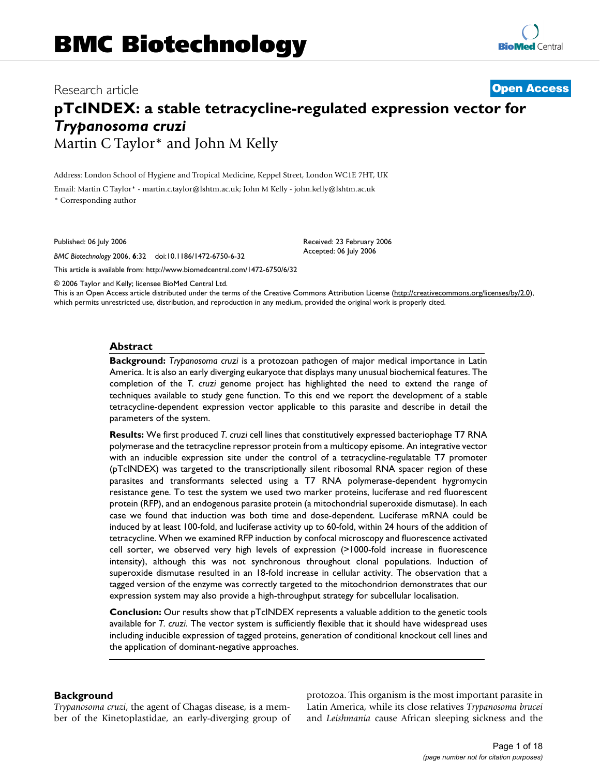# **pTcINDEX: a stable tetracycline-regulated expression vector for**  *Trypanosoma cruzi* Martin C Taylor\* and John M Kelly

Address: London School of Hygiene and Tropical Medicine, Keppel Street, London WC1E 7HT, UK

Email: Martin C Taylor\* - martin.c.taylor@lshtm.ac.uk; John M Kelly - john.kelly@lshtm.ac.uk

\* Corresponding author

Published: 06 July 2006

*BMC Biotechnology* 2006, **6**:32 doi:10.1186/1472-6750-6-32

[This article is available from: http://www.biomedcentral.com/1472-6750/6/32](http://www.biomedcentral.com/1472-6750/6/32)

© 2006 Taylor and Kelly; licensee BioMed Central Ltd.

This is an Open Access article distributed under the terms of the Creative Commons Attribution License [\(http://creativecommons.org/licenses/by/2.0\)](http://creativecommons.org/licenses/by/2.0), which permits unrestricted use, distribution, and reproduction in any medium, provided the original work is properly cited.

Received: 23 February 2006 Accepted: 06 July 2006

#### **Abstract**

**Background:** *Trypanosoma cruzi* is a protozoan pathogen of major medical importance in Latin America. It is also an early diverging eukaryote that displays many unusual biochemical features. The completion of the *T. cruzi* genome project has highlighted the need to extend the range of techniques available to study gene function. To this end we report the development of a stable tetracycline-dependent expression vector applicable to this parasite and describe in detail the parameters of the system.

**Results:** We first produced *T. cruzi* cell lines that constitutively expressed bacteriophage T7 RNA polymerase and the tetracycline repressor protein from a multicopy episome. An integrative vector with an inducible expression site under the control of a tetracycline-regulatable T7 promoter (pTcINDEX) was targeted to the transcriptionally silent ribosomal RNA spacer region of these parasites and transformants selected using a T7 RNA polymerase-dependent hygromycin resistance gene. To test the system we used two marker proteins, luciferase and red fluorescent protein (RFP), and an endogenous parasite protein (a mitochondrial superoxide dismutase). In each case we found that induction was both time and dose-dependent. Luciferase mRNA could be induced by at least 100-fold, and luciferase activity up to 60-fold, within 24 hours of the addition of tetracycline. When we examined RFP induction by confocal microscopy and fluorescence activated cell sorter, we observed very high levels of expression (>1000-fold increase in fluorescence intensity), although this was not synchronous throughout clonal populations. Induction of superoxide dismutase resulted in an 18-fold increase in cellular activity. The observation that a tagged version of the enzyme was correctly targeted to the mitochondrion demonstrates that our expression system may also provide a high-throughput strategy for subcellular localisation.

**Conclusion:** Our results show that pTcINDEX represents a valuable addition to the genetic tools available for *T. cruzi*. The vector system is sufficiently flexible that it should have widespread uses including inducible expression of tagged proteins, generation of conditional knockout cell lines and the application of dominant-negative approaches.

# **Background**

*Trypanosoma cruzi*, the agent of Chagas disease, is a member of the Kinetoplastidae, an early-diverging group of protozoa. This organism is the most important parasite in Latin America, while its close relatives *Trypanosoma brucei* and *Leishmania* cause African sleeping sickness and the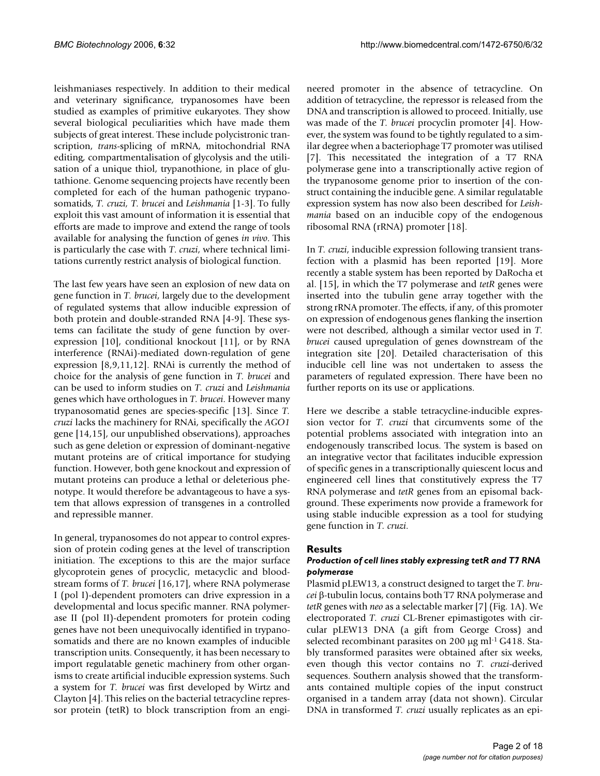leishmaniases respectively. In addition to their medical and veterinary significance, trypanosomes have been studied as examples of primitive eukaryotes. They show several biological peculiarities which have made them subjects of great interest. These include polycistronic transcription, *trans*-splicing of mRNA, mitochondrial RNA editing, compartmentalisation of glycolysis and the utilisation of a unique thiol, trypanothione, in place of glutathione. Genome sequencing projects have recently been completed for each of the human pathogenic trypanosomatids, *T. cruzi, T. brucei* and *Leishmania* [1-3]. To fully exploit this vast amount of information it is essential that efforts are made to improve and extend the range of tools available for analysing the function of genes *in vivo*. This is particularly the case with *T*. *cruzi*, where technical limitations currently restrict analysis of biological function.

The last few years have seen an explosion of new data on gene function in *T. brucei*, largely due to the development of regulated systems that allow inducible expression of both protein and double-stranded RNA [4-9]. These systems can facilitate the study of gene function by overexpression [10], conditional knockout [11], or by RNA interference (RNAi)-mediated down-regulation of gene expression [8,9,11,12]. RNAi is currently the method of choice for the analysis of gene function in *T. brucei* and can be used to inform studies on *T. cruzi* and *Leishmania* genes which have orthologues in *T. brucei*. However many trypanosomatid genes are species-specific [13]. Since *T. cruzi* lacks the machinery for RNAi, specifically the *AGO1* gene [14,15], our unpublished observations), approaches such as gene deletion or expression of dominant-negative mutant proteins are of critical importance for studying function. However, both gene knockout and expression of mutant proteins can produce a lethal or deleterious phenotype. It would therefore be advantageous to have a system that allows expression of transgenes in a controlled and repressible manner.

In general, trypanosomes do not appear to control expression of protein coding genes at the level of transcription initiation. The exceptions to this are the major surface glycoprotein genes of procyclic, metacyclic and bloodstream forms of *T. brucei* [16,17], where RNA polymerase I (pol I)-dependent promoters can drive expression in a developmental and locus specific manner. RNA polymerase II (pol II)-dependent promoters for protein coding genes have not been unequivocally identified in trypanosomatids and there are no known examples of inducible transcription units. Consequently, it has been necessary to import regulatable genetic machinery from other organisms to create artificial inducible expression systems. Such a system for *T. brucei* was first developed by Wirtz and Clayton [4]. This relies on the bacterial tetracycline repressor protein (tetR) to block transcription from an engineered promoter in the absence of tetracycline. On addition of tetracycline, the repressor is released from the DNA and transcription is allowed to proceed. Initially, use was made of the *T. brucei* procyclin promoter [4]. However, the system was found to be tightly regulated to a similar degree when a bacteriophage T7 promoter was utilised [7]. This necessitated the integration of a T7 RNA polymerase gene into a transcriptionally active region of the trypanosome genome prior to insertion of the construct containing the inducible gene. A similar regulatable expression system has now also been described for *Leishmania* based on an inducible copy of the endogenous ribosomal RNA (rRNA) promoter [18].

In *T. cruzi*, inducible expression following transient transfection with a plasmid has been reported [19]. More recently a stable system has been reported by DaRocha et al. [15], in which the T7 polymerase and *tetR* genes were inserted into the tubulin gene array together with the strong rRNA promoter. The effects, if any, of this promoter on expression of endogenous genes flanking the insertion were not described, although a similar vector used in *T. brucei* caused upregulation of genes downstream of the integration site [20]. Detailed characterisation of this inducible cell line was not undertaken to assess the parameters of regulated expression. There have been no further reports on its use or applications.

Here we describe a stable tetracycline-inducible expression vector for *T. cruzi* that circumvents some of the potential problems associated with integration into an endogenously transcribed locus. The system is based on an integrative vector that facilitates inducible expression of specific genes in a transcriptionally quiescent locus and engineered cell lines that constitutively express the T7 RNA polymerase and *tetR* genes from an episomal background. These experiments now provide a framework for using stable inducible expression as a tool for studying gene function in *T. cruzi*.

# **Results**

# *Production of cell lines stably expressing tetR and T7 RNA polymerase*

Plasmid pLEW13, a construct designed to target the *T. brucei* β-tubulin locus, contains both T7 RNA polymerase and *tetR* genes with *neo* as a selectable marker [7] (Fig. 1A). We electroporated *T. cruzi* CL-Brener epimastigotes with circular pLEW13 DNA (a gift from George Cross) and selected recombinant parasites on 200 µg ml<sup>-1</sup> G418. Stably transformed parasites were obtained after six weeks, even though this vector contains no *T. cruzi*-derived sequences. Southern analysis showed that the transformants contained multiple copies of the input construct organised in a tandem array (data not shown). Circular DNA in transformed *T. cruzi* usually replicates as an epi-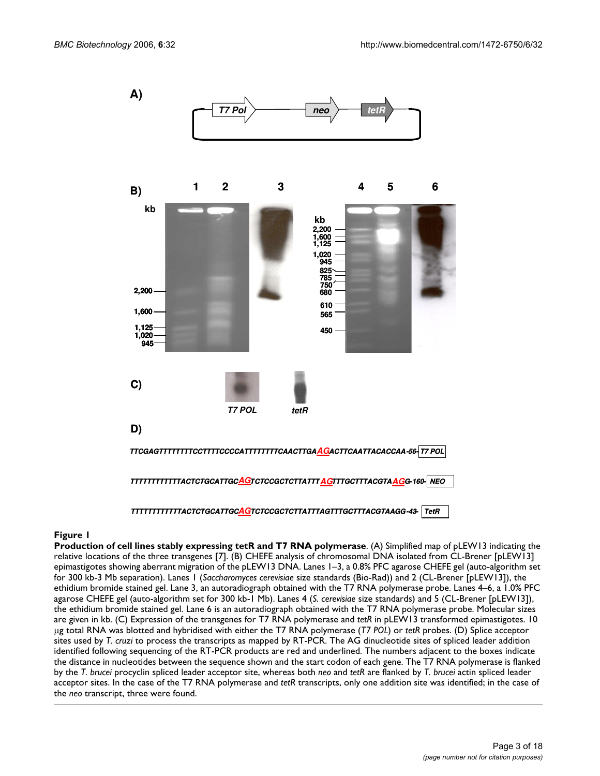

**Production of cell lines stably expressing tetR and T7 RNA polymerase**. (A) Simplified map of pLEW13 indicating the relative locations of the three transgenes [7]. (B) CHEFE analysis of chromosomal DNA isolated from CL-Brener [pLEW13] epimastigotes showing aberrant migration of the pLEW13 DNA. Lanes 1–3, a 0.8% PFC agarose CHEFE gel (auto-algorithm set for 300 kb-3 Mb separation). Lanes 1 (*Saccharomyces cerevisiae* size standards (Bio-Rad)) and 2 (CL-Brener [pLEW13]), the ethidium bromide stained gel. Lane 3, an autoradiograph obtained with the T7 RNA polymerase probe. Lanes 4–6, a 1.0% PFC agarose CHEFE gel (auto-algorithm set for 300 kb-1 Mb). Lanes 4 (*S. cerevisiae* size standards) and 5 (CL-Brener [pLEW13]), the ethidium bromide stained gel. Lane 6 is an autoradiograph obtained with the T7 RNA polymerase probe. Molecular sizes are given in kb. (C) Expression of the transgenes for T7 RNA polymerase and *tetR* in pLEW13 transformed epimastigotes. 10 µg total RNA was blotted and hybridised with either the T7 RNA polymerase (*T7 POL*) or *tetR* probes. (D) Splice acceptor sites used by *T. cruzi* to process the transcripts as mapped by RT-PCR. The AG dinucleotide sites of spliced leader addition identified following sequencing of the RT-PCR products are red and underlined. The numbers adjacent to the boxes indicate the distance in nucleotides between the sequence shown and the start codon of each gene. The T7 RNA polymerase is flanked by the *T. brucei* procyclin spliced leader acceptor site, whereas both *neo* and *tetR* are flanked by *T. brucei* actin spliced leader acceptor sites. In the case of the T7 RNA polymerase and *tetR* transcripts, only one addition site was identified; in the case of the *neo* transcript, three were found.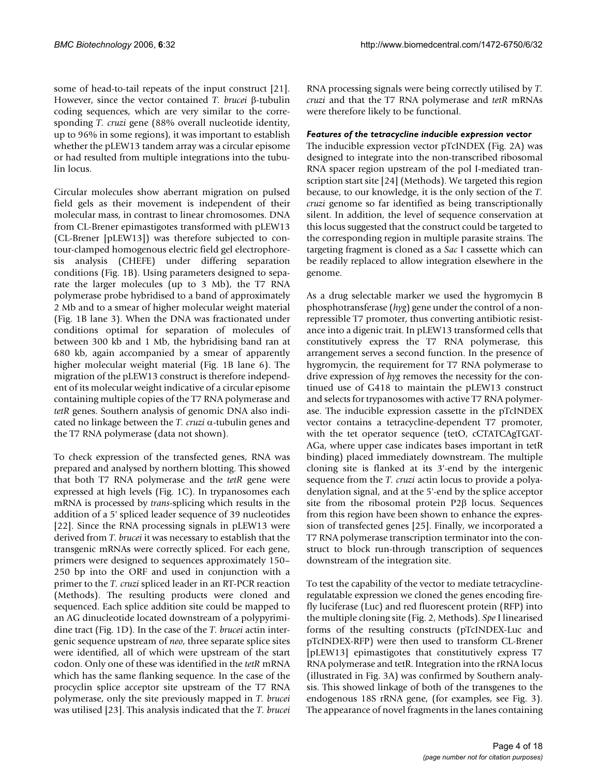some of head-to-tail repeats of the input construct [21]. However, since the vector contained *T. brucei* β-tubulin coding sequences, which are very similar to the corresponding *T. cruzi* gene (88% overall nucleotide identity, up to 96% in some regions), it was important to establish whether the pLEW13 tandem array was a circular episome or had resulted from multiple integrations into the tubulin locus.

Circular molecules show aberrant migration on pulsed field gels as their movement is independent of their molecular mass, in contrast to linear chromosomes. DNA from CL-Brener epimastigotes transformed with pLEW13 (CL-Brener [pLEW13]) was therefore subjected to contour-clamped homogenous electric field gel electrophoresis analysis (CHEFE) under differing separation conditions (Fig. 1B). Using parameters designed to separate the larger molecules (up to 3 Mb), the T7 RNA polymerase probe hybridised to a band of approximately 2 Mb and to a smear of higher molecular weight material (Fig. 1B lane 3). When the DNA was fractionated under conditions optimal for separation of molecules of between 300 kb and 1 Mb, the hybridising band ran at 680 kb, again accompanied by a smear of apparently higher molecular weight material (Fig. 1B lane 6). The migration of the pLEW13 construct is therefore independent of its molecular weight indicative of a circular episome containing multiple copies of the T7 RNA polymerase and *tetR* genes. Southern analysis of genomic DNA also indicated no linkage between the *T. cruzi* α-tubulin genes and the T7 RNA polymerase (data not shown).

To check expression of the transfected genes, RNA was prepared and analysed by northern blotting. This showed that both T7 RNA polymerase and the *tetR* gene were expressed at high levels (Fig. 1C). In trypanosomes each mRNA is processed by *trans*-splicing which results in the addition of a 5' spliced leader sequence of 39 nucleotides [22]. Since the RNA processing signals in pLEW13 were derived from *T. brucei* it was necessary to establish that the transgenic mRNAs were correctly spliced. For each gene, primers were designed to sequences approximately 150– 250 bp into the ORF and used in conjunction with a primer to the *T. cruzi* spliced leader in an RT-PCR reaction (Methods). The resulting products were cloned and sequenced. Each splice addition site could be mapped to an AG dinucleotide located downstream of a polypyrimidine tract (Fig. 1D). In the case of the *T. brucei* actin intergenic sequence upstream of *neo*, three separate splice sites were identified, all of which were upstream of the start codon. Only one of these was identified in the *tetR* mRNA which has the same flanking sequence. In the case of the procyclin splice acceptor site upstream of the T7 RNA polymerase, only the site previously mapped in *T. brucei* was utilised [23]. This analysis indicated that the *T. brucei*

RNA processing signals were being correctly utilised by *T. cruzi* and that the T7 RNA polymerase and *tetR* mRNAs were therefore likely to be functional.

# *Features of the tetracycline inducible expression vector*

The inducible expression vector pTcINDEX (Fig. 2A) was designed to integrate into the non-transcribed ribosomal RNA spacer region upstream of the pol I-mediated transcription start site [24] (Methods). We targeted this region because, to our knowledge, it is the only section of the *T. cruzi* genome so far identified as being transcriptionally silent. In addition, the level of sequence conservation at this locus suggested that the construct could be targeted to the corresponding region in multiple parasite strains. The targeting fragment is cloned as a *Sac* I cassette which can be readily replaced to allow integration elsewhere in the genome.

As a drug selectable marker we used the hygromycin B phosphotransferase (*hyg*) gene under the control of a nonrepressible T7 promoter, thus converting antibiotic resistance into a digenic trait. In pLEW13 transformed cells that constitutively express the T7 RNA polymerase, this arrangement serves a second function. In the presence of hygromycin, the requirement for T7 RNA polymerase to drive expression of *hyg* removes the necessity for the continued use of G418 to maintain the pLEW13 construct and selects for trypanosomes with active T7 RNA polymerase. The inducible expression cassette in the pTcINDEX vector contains a tetracycline-dependent T7 promoter, with the tet operator sequence (tetO, cCTATCAgTGAT-AGa, where upper case indicates bases important in tetR binding) placed immediately downstream. The multiple cloning site is flanked at its 3'-end by the intergenic sequence from the *T. cruzi* actin locus to provide a polyadenylation signal, and at the 5'-end by the splice acceptor site from the ribosomal protein P2β locus. Sequences from this region have been shown to enhance the expression of transfected genes [25]. Finally, we incorporated a T7 RNA polymerase transcription terminator into the construct to block run-through transcription of sequences downstream of the integration site.

To test the capability of the vector to mediate tetracyclineregulatable expression we cloned the genes encoding firefly luciferase (Luc) and red fluorescent protein (RFP) into the multiple cloning site (Fig. 2, Methods). *Spe* I linearised forms of the resulting constructs (pTcINDEX-Luc and pTcINDEX-RFP) were then used to transform CL-Brener [pLEW13] epimastigotes that constitutively express T7 RNA polymerase and tetR. Integration into the rRNA locus (illustrated in Fig. 3A) was confirmed by Southern analysis. This showed linkage of both of the transgenes to the endogenous 18S rRNA gene, (for examples, see Fig. 3). The appearance of novel fragments in the lanes containing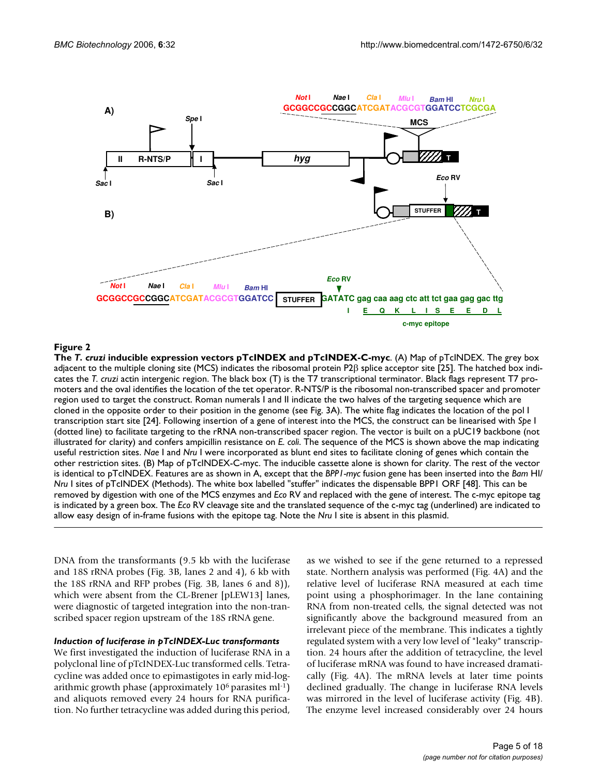

**The** *T. cruzi* **inducible expression vectors pTcINDEX and pTcINDEX-C-myc**. (A) Map of pTcINDEX. The grey box adjacent to the multiple cloning site (MCS) indicates the ribosomal protein P2β splice acceptor site [25]. The hatched box indicates the *T. cruzi* actin intergenic region. The black box (T) is the T7 transcriptional terminator. Black flags represent T7 promoters and the oval identifies the location of the tet operator. R-NTS/P is the ribosomal non-transcribed spacer and promoter region used to target the construct. Roman numerals I and II indicate the two halves of the targeting sequence which are cloned in the opposite order to their position in the genome (see Fig. 3A). The white flag indicates the location of the pol I transcription start site [24]. Following insertion of a gene of interest into the MCS, the construct can be linearised with *Spe* I (dotted line) to facilitate targeting to the rRNA non-transcribed spacer region. The vector is built on a pUC19 backbone (not illustrated for clarity) and confers ampicillin resistance on *E. coli*. The sequence of the MCS is shown above the map indicating useful restriction sites. *Nae* I and *Nru* I were incorporated as blunt end sites to facilitate cloning of genes which contain the other restriction sites. (B) Map of pTcINDEX-C-myc. The inducible cassette alone is shown for clarity. The rest of the vector is identical to pTcINDEX. Features are as shown in A, except that the *BPP1-myc* fusion gene has been inserted into the *Bam* HI/ *Nru* I sites of pTcINDEX (Methods). The white box labelled "stuffer" indicates the dispensable BPP1 ORF [48]. This can be removed by digestion with one of the MCS enzymes and *Eco* RV and replaced with the gene of interest. The c-myc epitope tag is indicated by a green box. The *Eco* RV cleavage site and the translated sequence of the c-myc tag (underlined) are indicated to allow easy design of in-frame fusions with the epitope tag. Note the *Nru* I site is absent in this plasmid.

DNA from the transformants (9.5 kb with the luciferase and 18S rRNA probes (Fig. 3B, lanes 2 and 4), 6 kb with the 18S rRNA and RFP probes (Fig. 3B, lanes 6 and 8)), which were absent from the CL-Brener [pLEW13] lanes, were diagnostic of targeted integration into the non-transcribed spacer region upstream of the 18S rRNA gene.

#### *Induction of luciferase in pTcINDEX-Luc transformants*

We first investigated the induction of luciferase RNA in a polyclonal line of pTcINDEX-Luc transformed cells. Tetracycline was added once to epimastigotes in early mid-logarithmic growth phase (approximately  $10<sup>6</sup>$  parasites ml<sup>-1</sup>) and aliquots removed every 24 hours for RNA purification. No further tetracycline was added during this period,

as we wished to see if the gene returned to a repressed state. Northern analysis was performed (Fig. 4A) and the relative level of luciferase RNA measured at each time point using a phosphorimager. In the lane containing RNA from non-treated cells, the signal detected was not significantly above the background measured from an irrelevant piece of the membrane. This indicates a tightly regulated system with a very low level of "leaky" transcription. 24 hours after the addition of tetracycline, the level of luciferase mRNA was found to have increased dramatically (Fig. 4A). The mRNA levels at later time points declined gradually. The change in luciferase RNA levels was mirrored in the level of luciferase activity (Fig. 4B). The enzyme level increased considerably over 24 hours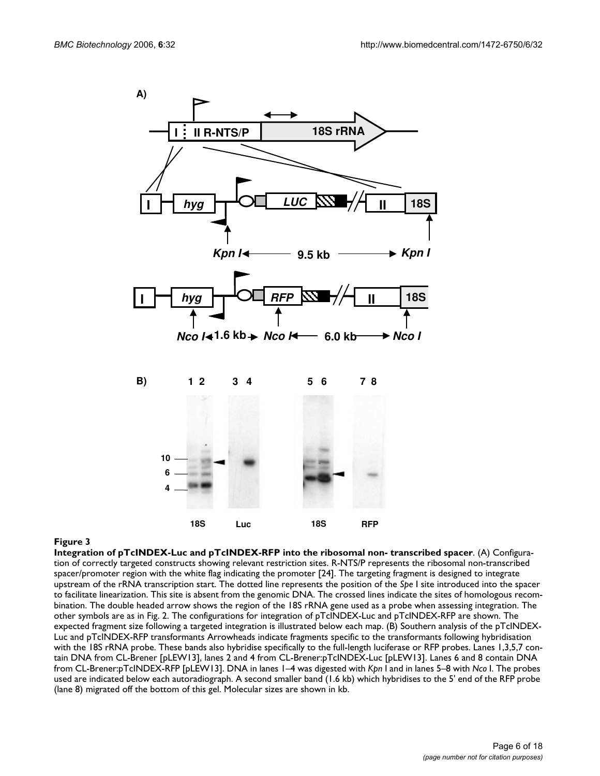

**Integration of pTcINDEX-Luc and pTcINDEX-RFP into the ribosomal non- transcribed spacer**. (A) Configuration of correctly targeted constructs showing relevant restriction sites. R-NTS/P represents the ribosomal non-transcribed spacer/promoter region with the white flag indicating the promoter [24]. The targeting fragment is designed to integrate upstream of the rRNA transcription start. The dotted line represents the position of the *Spe* I site introduced into the spacer to facilitate linearization. This site is absent from the genomic DNA. The crossed lines indicate the sites of homologous recombination. The double headed arrow shows the region of the 18S rRNA gene used as a probe when assessing integration. The other symbols are as in Fig. 2. The configurations for integration of pTcINDEX-Luc and pTcINDEX-RFP are shown. The expected fragment size following a targeted integration is illustrated below each map. (B) Southern analysis of the pTcINDEX-Luc and pTcINDEX-RFP transformants Arrowheads indicate fragments specific to the transformants following hybridisation with the 18S rRNA probe. These bands also hybridise specifically to the full-length luciferase or RFP probes. Lanes 1,3,5,7 contain DNA from CL-Brener [pLEW13], lanes 2 and 4 from CL-Brener:pTcINDEX-Luc [pLEW13]. Lanes 6 and 8 contain DNA from CL-Brener:pTcINDEX-RFP [pLEW13]. DNA in lanes 1–4 was digested with *Kpn* I and in lanes 5–8 with *Nco* I. The probes used are indicated below each autoradiograph. A second smaller band (1.6 kb) which hybridises to the 5' end of the RFP probe (lane 8) migrated off the bottom of this gel. Molecular sizes are shown in kb.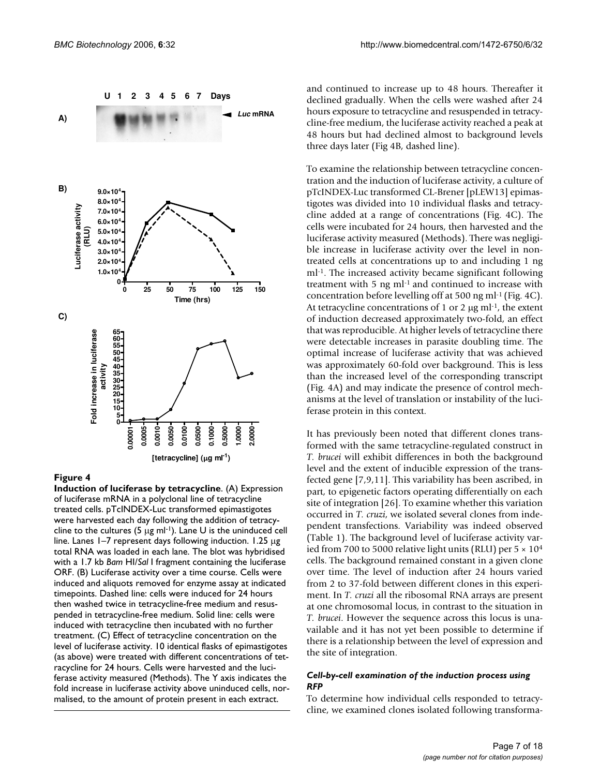

**Induction of luciferase by tetracycline**. (A) Expression of luciferase mRNA in a polyclonal line of tetracycline treated cells. pTcINDEX-Luc transformed epimastigotes were harvested each day following the addition of tetracycline to the cultures (5  $\mu$ g ml-1). Lane U is the uninduced cell line. Lanes 1–7 represent days following induction. 1.25 µg total RNA was loaded in each lane. The blot was hybridised with a 1.7 kb *Bam* HI/*Sal* I fragment containing the luciferase ORF. (B) Luciferase activity over a time course. Cells were induced and aliquots removed for enzyme assay at indicated timepoints. Dashed line: cells were induced for 24 hours then washed twice in tetracycline-free medium and resuspended in tetracycline-free medium. Solid line: cells were induced with tetracycline then incubated with no further treatment. (C) Effect of tetracycline concentration on the level of luciferase activity. 10 identical flasks of epimastigotes (as above) were treated with different concentrations of tetracycline for 24 hours. Cells were harvested and the luciferase activity measured (Methods). The Y axis indicates the fold increase in luciferase activity above uninduced cells, normalised, to the amount of protein present in each extract.

and continued to increase up to 48 hours. Thereafter it declined gradually. When the cells were washed after 24 hours exposure to tetracycline and resuspended in tetracycline-free medium, the luciferase activity reached a peak at 48 hours but had declined almost to background levels three days later (Fig 4B, dashed line).

To examine the relationship between tetracycline concentration and the induction of luciferase activity, a culture of pTcINDEX-Luc transformed CL-Brener [pLEW13] epimastigotes was divided into 10 individual flasks and tetracycline added at a range of concentrations (Fig. 4C). The cells were incubated for 24 hours, then harvested and the luciferase activity measured (Methods). There was negligible increase in luciferase activity over the level in nontreated cells at concentrations up to and including 1 ng ml-1. The increased activity became significant following treatment with 5 ng ml-1 and continued to increase with concentration before levelling off at 500 ng ml-1 (Fig. 4C). At tetracycline concentrations of 1 or 2  $\mu$ g ml<sup>-1</sup>, the extent of induction decreased approximately two-fold, an effect that was reproducible. At higher levels of tetracycline there were detectable increases in parasite doubling time. The optimal increase of luciferase activity that was achieved was approximately 60-fold over background. This is less than the increased level of the corresponding transcript (Fig. 4A) and may indicate the presence of control mechanisms at the level of translation or instability of the luciferase protein in this context.

It has previously been noted that different clones transformed with the same tetracycline-regulated construct in *T. brucei* will exhibit differences in both the background level and the extent of inducible expression of the transfected gene [7,9,11]. This variability has been ascribed, in part, to epigenetic factors operating differentially on each site of integration [26]. To examine whether this variation occurred in *T. cruzi*, we isolated several clones from independent transfections. Variability was indeed observed (Table 1). The background level of luciferase activity varied from 700 to 5000 relative light units (RLU) per  $5 \times 10^4$ cells. The background remained constant in a given clone over time. The level of induction after 24 hours varied from 2 to 37-fold between different clones in this experiment. In *T. cruzi* all the ribosomal RNA arrays are present at one chromosomal locus, in contrast to the situation in *T. brucei*. However the sequence across this locus is unavailable and it has not yet been possible to determine if there is a relationship between the level of expression and the site of integration.

#### *Cell-by-cell examination of the induction process using RFP*

To determine how individual cells responded to tetracycline, we examined clones isolated following transforma-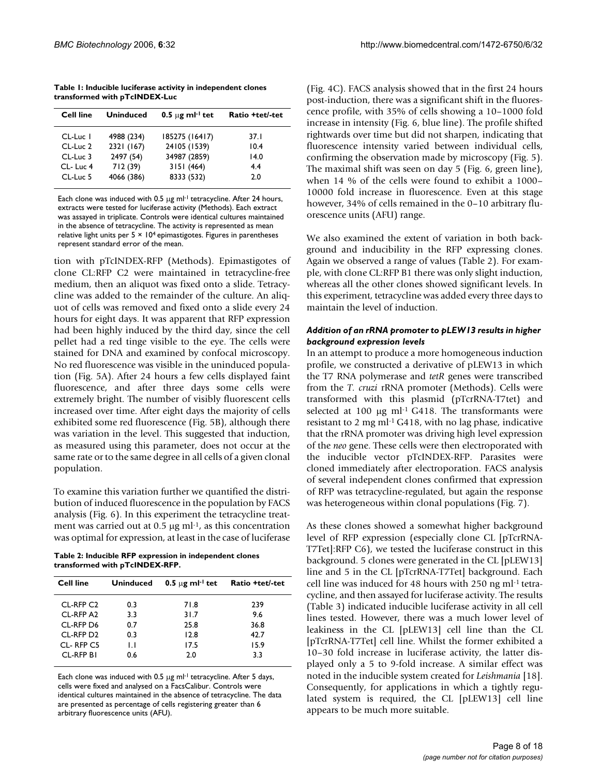| Table 1: Inducible luciferase activity in independent clones |
|--------------------------------------------------------------|
| transformed with pTcINDEX-Luc                                |

| <b>Cell line</b> | <b>Uninduced</b> | 0.5 $\mu$ g ml <sup>-1</sup> tet | Ratio +tet/-tet |
|------------------|------------------|----------------------------------|-----------------|
| CL-Luc I         | 4988 (234)       | 185275 (16417)                   | 37.I            |
| $Cl$ -Luc 2      | 2321 (167)       | 24105 (1539)                     | 10.4            |
| $CL$ -Luc $3$    | 2497 (54)        | 34987 (2859)                     | 14.0            |
| CL-Luc 4         | 712 (39)         | 3151 (464)                       | 4.4             |
| CL-Luc 5         | 4066 (386)       | 8333 (532)                       | 2.0             |

Each clone was induced with 0.5  $\mu$ g ml<sup>-1</sup> tetracycline. After 24 hours, extracts were tested for luciferase activity (Methods). Each extract was assayed in triplicate. Controls were identical cultures maintained in the absence of tetracycline. The activity is represented as mean relative light units per  $5 \times 10^4$  epimastigotes. Figures in parentheses represent standard error of the mean.

tion with pTcINDEX-RFP (Methods). Epimastigotes of clone CL:RFP C2 were maintained in tetracycline-free medium, then an aliquot was fixed onto a slide. Tetracycline was added to the remainder of the culture. An aliquot of cells was removed and fixed onto a slide every 24 hours for eight days. It was apparent that RFP expression had been highly induced by the third day, since the cell pellet had a red tinge visible to the eye. The cells were stained for DNA and examined by confocal microscopy. No red fluorescence was visible in the uninduced population (Fig. 5A). After 24 hours a few cells displayed faint fluorescence, and after three days some cells were extremely bright. The number of visibly fluorescent cells increased over time. After eight days the majority of cells exhibited some red fluorescence (Fig. 5B), although there was variation in the level. This suggested that induction, as measured using this parameter, does not occur at the same rate or to the same degree in all cells of a given clonal population.

To examine this variation further we quantified the distribution of induced fluorescence in the population by FACS analysis (Fig. 6). In this experiment the tetracycline treatment was carried out at  $0.5 \mu g$  ml $^{-1}$ , as this concentration was optimal for expression, at least in the case of luciferase

**Table 2: Inducible RFP expression in independent clones transformed with pTcINDEX-RFP.**

| <b>Cell line</b>      | <b>Uninduced</b> | 0.5 $\mu$ g ml <sup>-1</sup> tet | Ratio +tet/-tet |
|-----------------------|------------------|----------------------------------|-----------------|
| CL-RFP C <sub>2</sub> | 0.3              | 71.8                             | 239             |
| $CI$ -RFP A2          | 3.3              | 31.7                             | 9.6             |
| CL-RFP D6             | 0.7              | 25.8                             | 36.8            |
| CL-RFP D <sub>2</sub> | 0.3              | 12.8                             | 42.7            |
| CL-RFP C5             | IJ               | 17.5                             | 15.9            |
| <b>CL-RFP BI</b>      | 0.6              | 2.0                              | 3.3             |
|                       |                  |                                  |                 |

Each clone was induced with 0.5  $\mu$ g ml<sup>-1</sup> tetracycline. After 5 days, cells were fixed and analysed on a FacsCalibur. Controls were identical cultures maintained in the absence of tetracycline. The data are presented as percentage of cells registering greater than 6 arbitrary fluorescence units (AFU).

(Fig. 4C). FACS analysis showed that in the first 24 hours post-induction, there was a significant shift in the fluorescence profile, with 35% of cells showing a 10–1000 fold increase in intensity (Fig. 6, blue line). The profile shifted rightwards over time but did not sharpen, indicating that fluorescence intensity varied between individual cells, confirming the observation made by microscopy (Fig. 5). The maximal shift was seen on day 5 (Fig. 6, green line), when 14 % of the cells were found to exhibit a 1000– 10000 fold increase in fluorescence. Even at this stage however, 34% of cells remained in the 0–10 arbitrary fluorescence units (AFU) range.

We also examined the extent of variation in both background and inducibility in the RFP expressing clones. Again we observed a range of values (Table 2). For example, with clone CL:RFP B1 there was only slight induction, whereas all the other clones showed significant levels. In this experiment, tetracycline was added every three days to maintain the level of induction.

# *Addition of an rRNA promoter to pLEW13 results in higher background expression levels*

In an attempt to produce a more homogeneous induction profile, we constructed a derivative of pLEW13 in which the T7 RNA polymerase and *tetR* genes were transcribed from the *T. cruzi* rRNA promoter (Methods). Cells were transformed with this plasmid (pTcrRNA-T7tet) and selected at 100  $\mu$ g ml<sup>-1</sup> G418. The transformants were resistant to 2 mg ml-1 G418, with no lag phase, indicative that the rRNA promoter was driving high level expression of the *neo* gene. These cells were then electroporated with the inducible vector pTcINDEX-RFP. Parasites were cloned immediately after electroporation. FACS analysis of several independent clones confirmed that expression of RFP was tetracycline-regulated, but again the response was heterogeneous within clonal populations (Fig. 7).

As these clones showed a somewhat higher background level of RFP expression (especially clone CL [pTcrRNA-T7Tet]:RFP C6), we tested the luciferase construct in this background. 5 clones were generated in the CL [pLEW13] line and 5 in the CL [pTcrRNA-T7Tet] background. Each cell line was induced for 48 hours with 250 ng ml-1 tetracycline, and then assayed for luciferase activity. The results (Table 3) indicated inducible luciferase activity in all cell lines tested. However, there was a much lower level of leakiness in the CL [pLEW13] cell line than the CL [pTcrRNA-T7Tet] cell line. Whilst the former exhibited a 10–30 fold increase in luciferase activity, the latter displayed only a 5 to 9-fold increase. A similar effect was noted in the inducible system created for *Leishmania* [18]. Consequently, for applications in which a tightly regulated system is required, the CL [pLEW13] cell line appears to be much more suitable.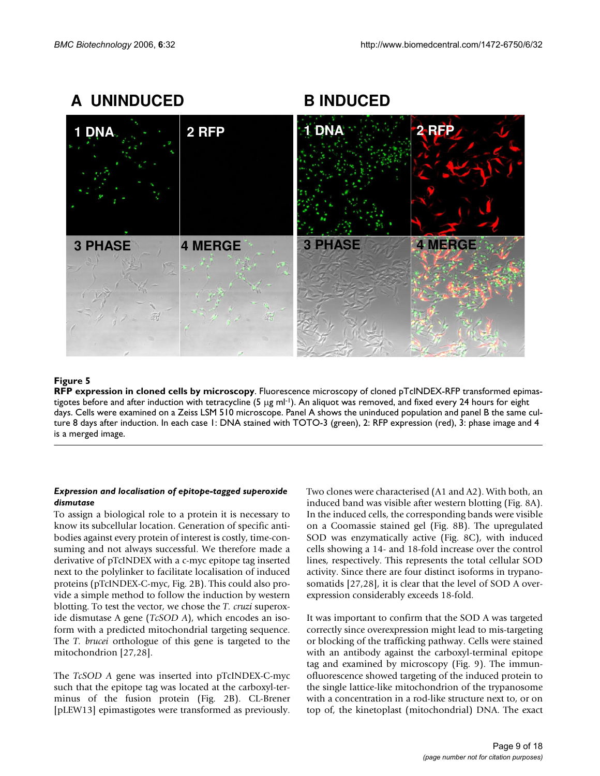

**RFP expression in cloned cells by microscopy**. Fluorescence microscopy of cloned pTcINDEX-RFP transformed epimastigotes before and after induction with tetracycline  $(5 \mu g \text{ ml}^{-1})$ . An aliquot was removed, and fixed every 24 hours for eight days. Cells were examined on a Zeiss LSM 510 microscope. Panel A shows the uninduced population and panel B the same culture 8 days after induction. In each case 1: DNA stained with TOTO-3 (green), 2: RFP expression (red), 3: phase image and 4 is a merged image.

#### *Expression and localisation of epitope-tagged superoxide dismutase*

To assign a biological role to a protein it is necessary to know its subcellular location. Generation of specific antibodies against every protein of interest is costly, time-consuming and not always successful. We therefore made a derivative of pTcINDEX with a c-myc epitope tag inserted next to the polylinker to facilitate localisation of induced proteins (pTcINDEX-C-myc, Fig. 2B). This could also provide a simple method to follow the induction by western blotting. To test the vector, we chose the *T. cruzi* superoxide dismutase A gene (*TcSOD A*), which encodes an isoform with a predicted mitochondrial targeting sequence. The *T. brucei* orthologue of this gene is targeted to the mitochondrion [27,28].

The *TcSOD A* gene was inserted into pTcINDEX-C-myc such that the epitope tag was located at the carboxyl-terminus of the fusion protein (Fig. 2B). CL-Brener [pLEW13] epimastigotes were transformed as previously. Two clones were characterised (A1 and A2). With both, an induced band was visible after western blotting (Fig. 8A). In the induced cells, the corresponding bands were visible on a Coomassie stained gel (Fig. 8B). The upregulated SOD was enzymatically active (Fig. 8C), with induced cells showing a 14- and 18-fold increase over the control lines, respectively. This represents the total cellular SOD activity. Since there are four distinct isoforms in trypanosomatids [27,28], it is clear that the level of SOD A overexpression considerably exceeds 18-fold.

It was important to confirm that the SOD A was targeted correctly since overexpression might lead to mis-targeting or blocking of the trafficking pathway. Cells were stained with an antibody against the carboxyl-terminal epitope tag and examined by microscopy (Fig. 9). The immunofluorescence showed targeting of the induced protein to the single lattice-like mitochondrion of the trypanosome with a concentration in a rod-like structure next to, or on top of, the kinetoplast (mitochondrial) DNA. The exact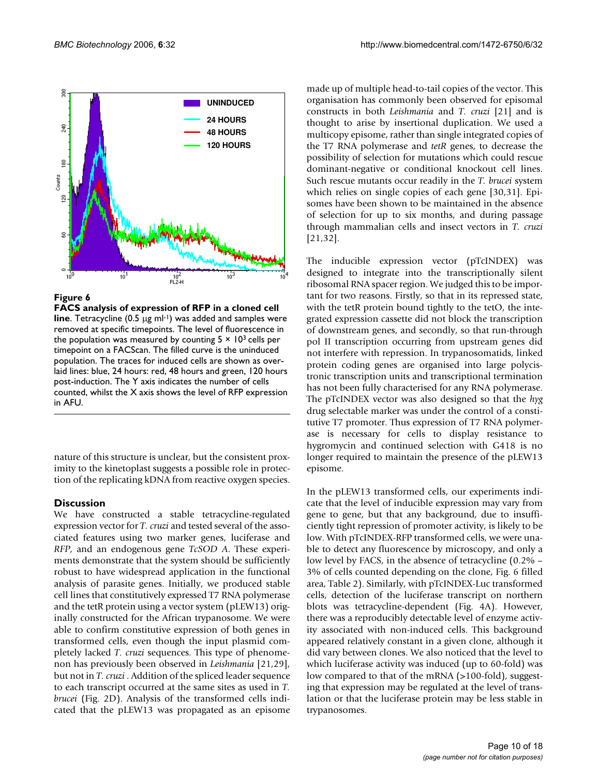

**FACS analysis of expression of RFP in a cloned cell line**. Tetracycline (0.5 µg ml-1) was added and samples were removed at specific timepoints. The level of fluorescence in the population was measured by counting  $5 \times 10^3$  cells per timepoint on a FACScan. The filled curve is the uninduced population. The traces for induced cells are shown as overlaid lines: blue, 24 hours: red, 48 hours and green, 120 hours post-induction. The Y axis indicates the number of cells counted, whilst the X axis shows the level of RFP expression in AFU.

nature of this structure is unclear, but the consistent proximity to the kinetoplast suggests a possible role in protection of the replicating kDNA from reactive oxygen species.

# **Discussion**

We have constructed a stable tetracycline-regulated expression vector for *T. cruzi* and tested several of the associated features using two marker genes, luciferase and *RFP*, and an endogenous gene *TcSOD A*. These experiments demonstrate that the system should be sufficiently robust to have widespread application in the functional analysis of parasite genes. Initially, we produced stable cell lines that constitutively expressed T7 RNA polymerase and the tetR protein using a vector system (pLEW13) originally constructed for the African trypanosome. We were able to confirm constitutive expression of both genes in transformed cells, even though the input plasmid completely lacked *T. cruzi* sequences. This type of phenomenon has previously been observed in *Leishmania* [21,29], but not in *T. cruzi* . Addition of the spliced leader sequence to each transcript occurred at the same sites as used in *T. brucei* (Fig. 2D). Analysis of the transformed cells indicated that the pLEW13 was propagated as an episome made up of multiple head-to-tail copies of the vector. This organisation has commonly been observed for episomal constructs in both *Leishmania* and *T. cruzi* [21] and is thought to arise by insertional duplication. We used a multicopy episome, rather than single integrated copies of the T7 RNA polymerase and *tetR* genes, to decrease the possibility of selection for mutations which could rescue dominant-negative or conditional knockout cell lines. Such rescue mutants occur readily in the *T. brucei* system which relies on single copies of each gene [30,31]. Episomes have been shown to be maintained in the absence of selection for up to six months, and during passage through mammalian cells and insect vectors in *T. cruzi* [21,32].

The inducible expression vector (pTcINDEX) was designed to integrate into the transcriptionally silent ribosomal RNA spacer region. We judged this to be important for two reasons. Firstly, so that in its repressed state, with the tetR protein bound tightly to the tetO, the integrated expression cassette did not block the transcription of downstream genes, and secondly, so that run-through pol II transcription occurring from upstream genes did not interfere with repression. In trypanosomatids, linked protein coding genes are organised into large polycistronic transcription units and transcriptional termination has not been fully characterised for any RNA polymerase. The pTcINDEX vector was also designed so that the *hyg* drug selectable marker was under the control of a constitutive T7 promoter. Thus expression of T7 RNA polymerase is necessary for cells to display resistance to hygromycin and continued selection with G418 is no longer required to maintain the presence of the pLEW13 episome.

In the pLEW13 transformed cells, our experiments indicate that the level of inducible expression may vary from gene to gene, but that any background, due to insufficiently tight repression of promoter activity, is likely to be low. With pTcINDEX-RFP transformed cells, we were unable to detect any fluorescence by microscopy, and only a low level by FACS, in the absence of tetracycline (0.2% – 3% of cells counted depending on the clone, Fig. 6 filled area, Table 2). Similarly, with pTcINDEX-Luc transformed cells, detection of the luciferase transcript on northern blots was tetracycline-dependent (Fig. 4A). However, there was a reproducibly detectable level of enzyme activity associated with non-induced cells. This background appeared relatively constant in a given clone, although it did vary between clones. We also noticed that the level to which luciferase activity was induced (up to 60-fold) was low compared to that of the mRNA (>100-fold), suggesting that expression may be regulated at the level of translation or that the luciferase protein may be less stable in trypanosomes.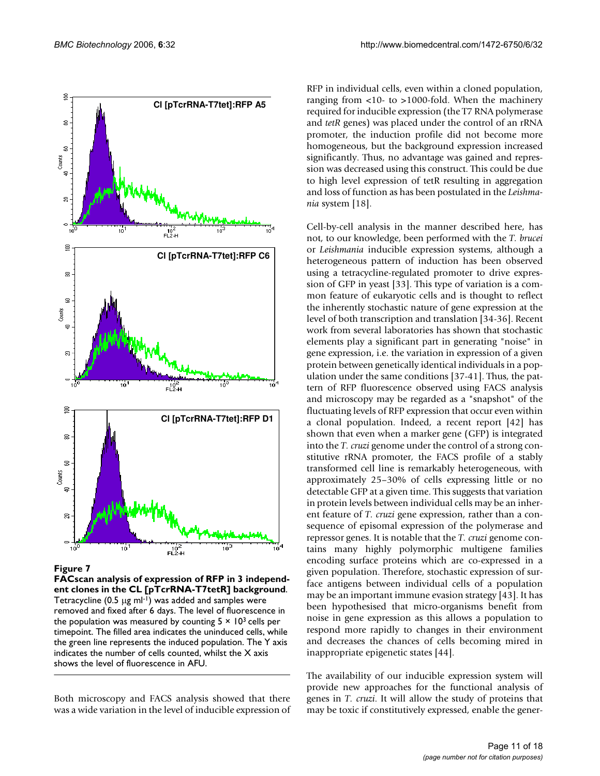

Figure 7

**FACscan analysis of expression of RFP in 3 independent clones in the CL [pTcrRNA-T7tetR] background**. Tetracycline  $(0.5 \mu g \text{ ml}^{-1})$  was added and samples were removed and fixed after 6 days. The level of fluorescence in the population was measured by counting  $5 \times 10^3$  cells per timepoint. The filled area indicates the uninduced cells, while the green line represents the induced population. The Y axis indicates the number of cells counted, whilst the X axis shows the level of fluorescence in AFU.

Both microscopy and FACS analysis showed that there was a wide variation in the level of inducible expression of RFP in individual cells, even within a cloned population, ranging from <10- to >1000-fold. When the machinery required for inducible expression (the T7 RNA polymerase and *tetR* genes) was placed under the control of an rRNA promoter, the induction profile did not become more homogeneous, but the background expression increased significantly. Thus, no advantage was gained and repression was decreased using this construct. This could be due to high level expression of tetR resulting in aggregation and loss of function as has been postulated in the *Leishmania* system [18].

Cell-by-cell analysis in the manner described here, has not, to our knowledge, been performed with the *T. brucei* or *Leishmania* inducible expression systems, although a heterogeneous pattern of induction has been observed using a tetracycline-regulated promoter to drive expression of GFP in yeast [33]. This type of variation is a common feature of eukaryotic cells and is thought to reflect the inherently stochastic nature of gene expression at the level of both transcription and translation [34-36]. Recent work from several laboratories has shown that stochastic elements play a significant part in generating "noise" in gene expression, i.e. the variation in expression of a given protein between genetically identical individuals in a population under the same conditions [37-41]. Thus, the pattern of RFP fluorescence observed using FACS analysis and microscopy may be regarded as a "snapshot" of the fluctuating levels of RFP expression that occur even within a clonal population. Indeed, a recent report [42] has shown that even when a marker gene (GFP) is integrated into the *T. cruzi* genome under the control of a strong constitutive rRNA promoter, the FACS profile of a stably transformed cell line is remarkably heterogeneous, with approximately 25–30% of cells expressing little or no detectable GFP at a given time. This suggests that variation in protein levels between individual cells may be an inherent feature of *T. cruzi* gene expression, rather than a consequence of episomal expression of the polymerase and repressor genes. It is notable that the *T. cruzi* genome contains many highly polymorphic multigene families encoding surface proteins which are co-expressed in a given population. Therefore, stochastic expression of surface antigens between individual cells of a population may be an important immune evasion strategy [43]. It has been hypothesised that micro-organisms benefit from noise in gene expression as this allows a population to respond more rapidly to changes in their environment and decreases the chances of cells becoming mired in inappropriate epigenetic states [44].

The availability of our inducible expression system will provide new approaches for the functional analysis of genes in *T. cruzi*. It will allow the study of proteins that may be toxic if constitutively expressed, enable the gener-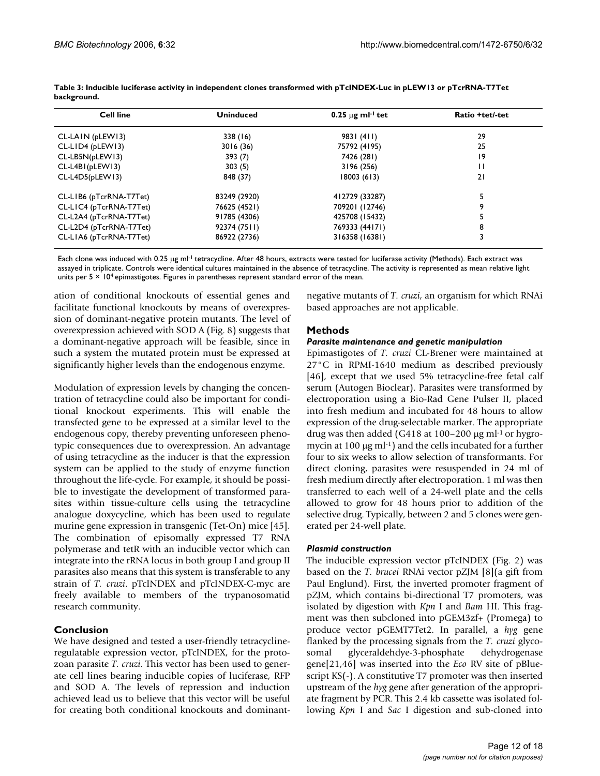| <b>Cell line</b>        | <b>Uninduced</b> | $0.25 \mu g$ ml <sup>-1</sup> tet | Ratio +tet/-tet |
|-------------------------|------------------|-----------------------------------|-----------------|
| CL-LAIN (pLEWI3)        | 338 (16)         | 9831 (411)                        | 29              |
| CL-LID4 (pLEW13)        | 3016 (36)        | 75792 (4195)                      | 25              |
| CL-LB5N(pLEW13)         | 393 (7)          | 7426 (281)                        | 19              |
| CL-L4BI (pLEW13)        | 303(5)           | 3196 (256)                        | П               |
| CL-L4D5(pLEW13)         | 848 (37)         | 18003(613)                        | 21              |
| CL-LIB6 (pTcrRNA-T7Tet) | 83249 (2920)     | 412729 (33287)                    |                 |
| CL-LIC4 (pTcrRNA-T7Tet) | 76625 (4521)     | 709201 (12746)                    | 9               |
| CL-L2A4 (pTcrRNA-T7Tet) | 91785 (4306)     | 425708 (15432)                    |                 |
| CL-L2D4 (pTcrRNA-T7Tet) | 92374 (7511)     | 769333 (44171)                    | 8               |
| CL-LIA6 (pTcrRNA-T7Tet) | 86922 (2736)     | 316358 (16381)                    |                 |

**Table 3: Inducible luciferase activity in independent clones transformed with pTcINDEX-Luc in pLEW13 or pTcrRNA-T7Tet background.**

Each clone was induced with 0.25 μg ml<sup>-1</sup> tetracycline. After 48 hours, extracts were tested for luciferase activity (Methods). Each extract was assayed in triplicate. Controls were identical cultures maintained in the absence of tetracycline. The activity is represented as mean relative light units per 5 × 10<sup>4</sup> epimastigotes. Figures in parentheses represent standard error of the mean.

ation of conditional knockouts of essential genes and facilitate functional knockouts by means of overexpression of dominant-negative protein mutants. The level of overexpression achieved with SOD A (Fig. 8) suggests that a dominant-negative approach will be feasible, since in such a system the mutated protein must be expressed at significantly higher levels than the endogenous enzyme.

Modulation of expression levels by changing the concentration of tetracycline could also be important for conditional knockout experiments. This will enable the transfected gene to be expressed at a similar level to the endogenous copy, thereby preventing unforeseen phenotypic consequences due to overexpression. An advantage of using tetracycline as the inducer is that the expression system can be applied to the study of enzyme function throughout the life-cycle. For example, it should be possible to investigate the development of transformed parasites within tissue-culture cells using the tetracycline analogue doxycycline, which has been used to regulate murine gene expression in transgenic (Tet-On) mice [45]. The combination of episomally expressed T7 RNA polymerase and tetR with an inducible vector which can integrate into the rRNA locus in both group I and group II parasites also means that this system is transferable to any strain of *T. cruzi*. pTcINDEX and pTcINDEX-C-myc are freely available to members of the trypanosomatid research community.

# **Conclusion**

We have designed and tested a user-friendly tetracyclineregulatable expression vector, pTcINDEX, for the protozoan parasite *T. cruzi*. This vector has been used to generate cell lines bearing inducible copies of luciferase, RFP and SOD A. The levels of repression and induction achieved lead us to believe that this vector will be useful for creating both conditional knockouts and dominantnegative mutants of *T. cruzi*, an organism for which RNAi based approaches are not applicable.

# **Methods**

# *Parasite maintenance and genetic manipulation*

Epimastigotes of *T. cruzi* CL-Brener were maintained at 27°C in RPMI-1640 medium as described previously [46], except that we used 5% tetracycline-free fetal calf serum (Autogen Bioclear). Parasites were transformed by electroporation using a Bio-Rad Gene Pulser II, placed into fresh medium and incubated for 48 hours to allow expression of the drug-selectable marker. The appropriate drug was then added (G418 at 100–200  $\mu$ g ml<sup>-1</sup> or hygromycin at 100  $\mu$ g ml<sup>-1</sup>) and the cells incubated for a further four to six weeks to allow selection of transformants. For direct cloning, parasites were resuspended in 24 ml of fresh medium directly after electroporation. 1 ml was then transferred to each well of a 24-well plate and the cells allowed to grow for 48 hours prior to addition of the selective drug. Typically, between 2 and 5 clones were generated per 24-well plate.

# *Plasmid construction*

The inducible expression vector pTcINDEX (Fig. 2) was based on the *T. brucei* RNAi vector pZJM [8](a gift from Paul Englund). First, the inverted promoter fragment of pZJM, which contains bi-directional T7 promoters, was isolated by digestion with *Kpn* I and *Bam* HI. This fragment was then subcloned into pGEM3zf+ (Promega) to produce vector pGEMT7Tet2. In parallel, a *hyg* gene flanked by the processing signals from the *T. cruzi* glycosomal glyceraldehdye-3-phosphate dehydrogenase gene[21,46] was inserted into the *Eco* RV site of pBluescript KS(-). A constitutive T7 promoter was then inserted upstream of the *hyg* gene after generation of the appropriate fragment by PCR. This 2.4 kb cassette was isolated following *Kpn* I and *Sac* I digestion and sub-cloned into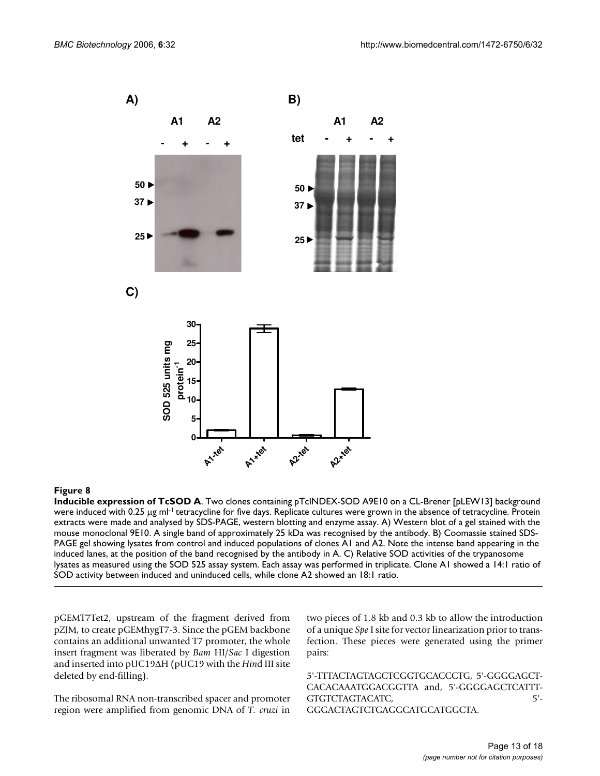

**Inducible expression of TcSOD A**. Two clones containing pTcINDEX-SOD A9E10 on a CL-Brener [pLEW13] background were induced with 0.25 µg ml<sup>-1</sup> tetracycline for five days. Replicate cultures were grown in the absence of tetracycline. Protein extracts were made and analysed by SDS-PAGE, western blotting and enzyme assay. A) Western blot of a gel stained with the mouse monoclonal 9E10. A single band of approximately 25 kDa was recognised by the antibody. B) Coomassie stained SDS-PAGE gel showing lysates from control and induced populations of clones A1 and A2. Note the intense band appearing in the induced lanes, at the position of the band recognised by the antibody in A. C) Relative SOD activities of the trypanosome lysates as measured using the SOD 525 assay system. Each assay was performed in triplicate. Clone A1 showed a 14:1 ratio of SOD activity between induced and uninduced cells, while clone A2 showed an 18:1 ratio.

pGEMT7Tet2, upstream of the fragment derived from pZJM, to create pGEMhygT7-3. Since the pGEM backbone contains an additional unwanted T7 promoter, the whole insert fragment was liberated by *Bam* HI/*Sac* I digestion and inserted into pUC19∆H (pUC19 with the *Hin*d III site deleted by end-filling).

The ribosomal RNA non-transcribed spacer and promoter region were amplified from genomic DNA of *T. cruzi* in two pieces of 1.8 kb and 0.3 kb to allow the introduction of a unique *Spe* I site for vector linearization prior to transfection. These pieces were generated using the primer pairs:

5'-TTTACTAGTAGCTCGGTGCACCCTG, 5'-GGGGAGCT-CACACAAATGGACGGTTA and, 5'-GGGGAGCTCATTT-GTGTCTAGTACATC, 5'- GGGACTAGTCTGAGGCATGCATGGCTA.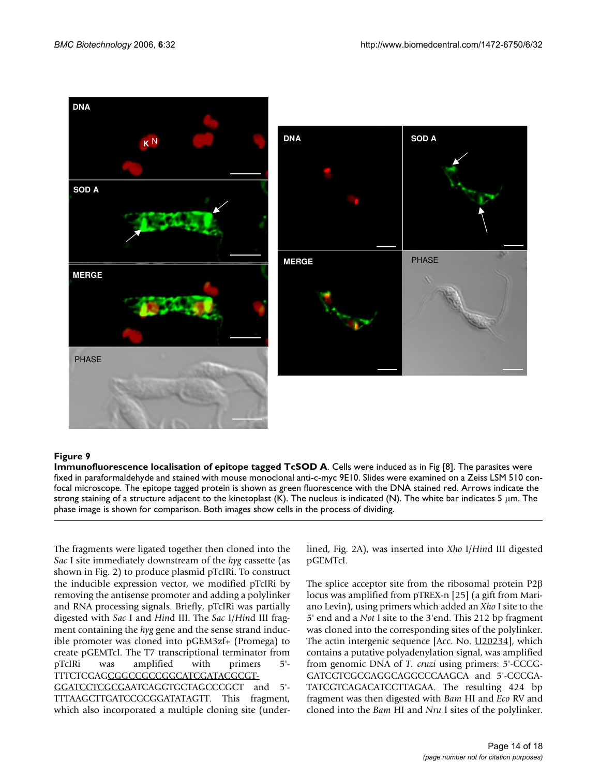

**Immunofluorescence localisation of epitope tagged TcSOD A**. Cells were induced as in Fig [8]. The parasites were fixed in paraformaldehyde and stained with mouse monoclonal anti-c-myc 9E10. Slides were examined on a Zeiss LSM 510 confocal microscope. The epitope tagged protein is shown as green fluorescence with the DNA stained red. Arrows indicate the strong staining of a structure adjacent to the kinetoplast (K). The nucleus is indicated (N). The white bar indicates 5 µm. The phase image is shown for comparison. Both images show cells in the process of dividing.

The fragments were ligated together then cloned into the *Sac* I site immediately downstream of the *hyg* cassette (as shown in Fig. 2) to produce plasmid pTcIRi. To construct the inducible expression vector, we modified pTcIRi by removing the antisense promoter and adding a polylinker and RNA processing signals. Briefly, pTcIRi was partially digested with *Sac* I and *Hin*d III. The *Sac* I/*Hin*d III fragment containing the *hyg* gene and the sense strand inducible promoter was cloned into pGEM3zf+ (Promega) to create pGEMTcI. The T7 transcriptional terminator from pTcIRi was amplified with primers 5'- TTTCTCGAGCGGCCGCCGGCATCGATACGCGT-GGATCCTCGCGAATCAGGTGCTAGCCCGCT and 5'-

TTTAAGCTTGATCCCCGGATATAGTT. This fragment, which also incorporated a multiple cloning site (underlined, Fig. 2A), was inserted into *Xho* I/*Hin*d III digested pGEMTcI.

The splice acceptor site from the ribosomal protein P2β locus was amplified from pTREX-n [25] (a gift from Mariano Levin), using primers which added an *Xho* I site to the 5' end and a *Not* I site to the 3'end. This 212 bp fragment was cloned into the corresponding sites of the polylinker. The actin intergenic sequence [Acc. No. [U20234](http://www.ncbi.nih.gov/entrez/query.fcgi?db=Nucleotide&cmd=search&term=U20234)], which contains a putative polyadenylation signal, was amplified from genomic DNA of *T. cruzi* using primers: 5'-CCCG-GATCGTCGCGAGGCAGGCCCAAGCA and 5'-CCCGA-TATCGTCAGACATCCTTAGAA. The resulting 424 bp fragment was then digested with *Bam* HI and *Eco* RV and cloned into the *Bam* HI and *Nru* I sites of the polylinker.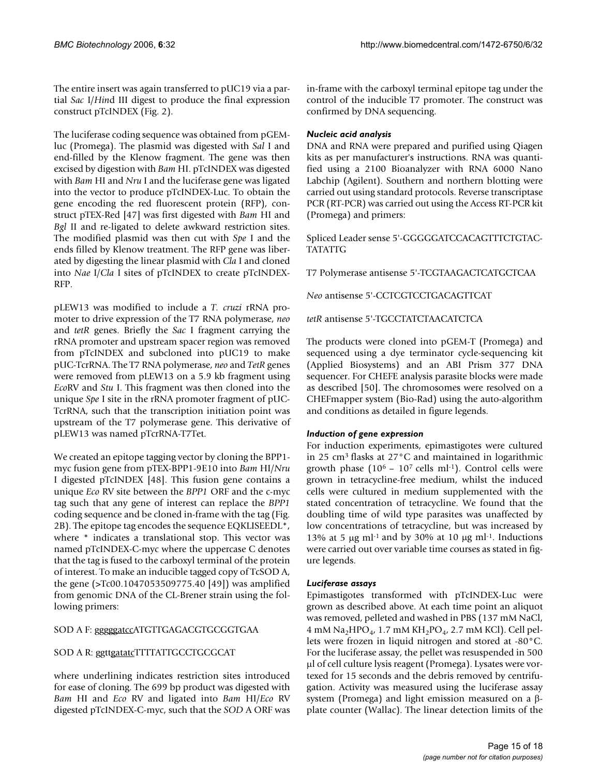The entire insert was again transferred to pUC19 via a partial *Sac* I/*Hin*d III digest to produce the final expression construct pTcINDEX (Fig. 2).

The luciferase coding sequence was obtained from pGEMluc (Promega). The plasmid was digested with *Sal* I and end-filled by the Klenow fragment. The gene was then excised by digestion with *Bam* HI. pTcINDEX was digested with *Bam* HI and *Nru* I and the luciferase gene was ligated into the vector to produce pTcINDEX-Luc. To obtain the gene encoding the red fluorescent protein (RFP), construct pTEX-Red [47] was first digested with *Bam* HI and *Bgl* II and re-ligated to delete awkward restriction sites. The modified plasmid was then cut with *Spe* I and the ends filled by Klenow treatment. The RFP gene was liberated by digesting the linear plasmid with *Cla* I and cloned into *Nae* I/*Cla* I sites of pTcINDEX to create pTcINDEX-RFP.

pLEW13 was modified to include a *T. cruzi* rRNA promoter to drive expression of the T7 RNA polymerase, *neo* and *tetR* genes. Briefly the *Sac* I fragment carrying the rRNA promoter and upstream spacer region was removed from pTcINDEX and subcloned into pUC19 to make pUC-TcrRNA. The T7 RNA polymerase, *neo* and *TetR* genes were removed from pLEW13 on a 5.9 kb fragment using *Eco*RV and *Stu* I. This fragment was then cloned into the unique *Spe* I site in the rRNA promoter fragment of pUC-TcrRNA, such that the transcription initiation point was upstream of the T7 polymerase gene. This derivative of pLEW13 was named pTcrRNA-T7Tet.

We created an epitope tagging vector by cloning the BPP1 myc fusion gene from pTEX-BPP1-9E10 into *Bam* HI/*Nru* I digested pTcINDEX [48]. This fusion gene contains a unique *Eco* RV site between the *BPP1* ORF and the c-myc tag such that any gene of interest can replace the *BPP1* coding sequence and be cloned in-frame with the tag (Fig. 2B). The epitope tag encodes the sequence EQKLISEEDL\*, where \* indicates a translational stop. This vector was named pTcINDEX-C-myc where the uppercase C denotes that the tag is fused to the carboxyl terminal of the protein of interest. To make an inducible tagged copy of TcSOD A, the gene (>Tc00.1047053509775.40 [49]) was amplified from genomic DNA of the CL-Brener strain using the following primers:

# SOD A F: gggggatccATGTTGAGACGTGCGGTGAA

# SOD A R: ggttgatatcTTTTATTGCCTGCGCAT

where underlining indicates restriction sites introduced for ease of cloning. The 699 bp product was digested with *Bam* HI and *Eco* RV and ligated into *Bam* HI/*Eco* RV digested pTcINDEX-C-myc, such that the *SOD* A ORF was in-frame with the carboxyl terminal epitope tag under the control of the inducible T7 promoter. The construct was confirmed by DNA sequencing.

# *Nucleic acid analysis*

DNA and RNA were prepared and purified using Qiagen kits as per manufacturer's instructions. RNA was quantified using a 2100 Bioanalyzer with RNA 6000 Nano Labchip (Agilent). Southern and northern blotting were carried out using standard protocols. Reverse transcriptase PCR (RT-PCR) was carried out using the Access RT-PCR kit (Promega) and primers:

Spliced Leader sense 5'-GGGGGATCCACAGTTTCTGTAC-TATATTG

T7 Polymerase antisense 5'-TCGTAAGACTCATGCTCAA

*Neo* antisense 5'-CCTCGTCCTGACAGTTCAT

*tetR* antisense 5'-TGCCTATCTAACATCTCA

The products were cloned into pGEM-T (Promega) and sequenced using a dye terminator cycle-sequencing kit (Applied Biosystems) and an ABI Prism 377 DNA sequencer. For CHEFE analysis parasite blocks were made as described [50]. The chromosomes were resolved on a CHEFmapper system (Bio-Rad) using the auto-algorithm and conditions as detailed in figure legends.

# *Induction of gene expression*

For induction experiments, epimastigotes were cultured in 25 cm3 flasks at 27°C and maintained in logarithmic growth phase  $(10^6 - 10^7 \text{ cells ml-1})$ . Control cells were grown in tetracycline-free medium, whilst the induced cells were cultured in medium supplemented with the stated concentration of tetracycline. We found that the doubling time of wild type parasites was unaffected by low concentrations of tetracycline, but was increased by 13% at 5  $\mu$ g ml<sup>-1</sup> and by 30% at 10  $\mu$ g ml<sup>-1</sup>. Inductions were carried out over variable time courses as stated in figure legends.

# *Luciferase assays*

Epimastigotes transformed with pTcINDEX-Luc were grown as described above. At each time point an aliquot was removed, pelleted and washed in PBS (137 mM NaCl, 4 mM Na<sub>2</sub>HPO<sub>4</sub>, 1.7 mM KH<sub>2</sub>PO<sub>4</sub>, 2.7 mM KCl). Cell pellets were frozen in liquid nitrogen and stored at -80°C. For the luciferase assay, the pellet was resuspended in 500 µl of cell culture lysis reagent (Promega). Lysates were vortexed for 15 seconds and the debris removed by centrifugation. Activity was measured using the luciferase assay system (Promega) and light emission measured on a βplate counter (Wallac). The linear detection limits of the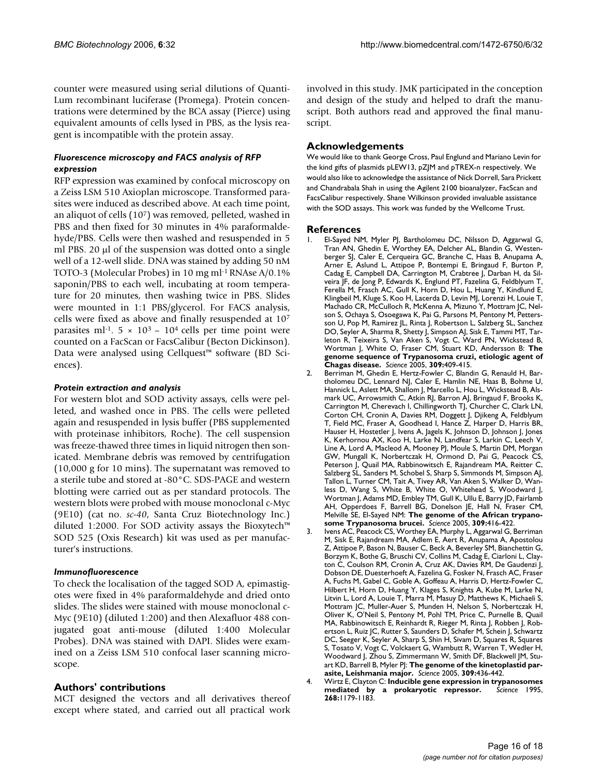counter were measured using serial dilutions of Quanti-Lum recombinant luciferase (Promega). Protein concentrations were determined by the BCA assay (Pierce) using equivalent amounts of cells lysed in PBS, as the lysis reagent is incompatible with the protein assay.

#### *Fluorescence microscopy and FACS analysis of RFP expression*

RFP expression was examined by confocal microscopy on a Zeiss LSM 510 Axioplan microscope. Transformed parasites were induced as described above. At each time point, an aliquot of cells (107) was removed, pelleted, washed in PBS and then fixed for 30 minutes in 4% paraformaldehyde/PBS. Cells were then washed and resuspended in 5 ml PBS. 20 µl of the suspension was dotted onto a single well of a 12-well slide. DNA was stained by adding 50 nM TOTO-3 (Molecular Probes) in 10 mg ml-1 RNAse A/0.1% saponin/PBS to each well, incubating at room temperature for 20 minutes, then washing twice in PBS. Slides were mounted in 1:1 PBS/glycerol. For FACS analysis, cells were fixed as above and finally resuspended at 107 parasites ml<sup>-1</sup>.  $5 \times 10^3 - 10^4$  cells per time point were counted on a FacScan or FacsCalibur (Becton Dickinson). Data were analysed using Cellquest™ software (BD Sciences).

#### *Protein extraction and analysis*

For western blot and SOD activity assays, cells were pelleted, and washed once in PBS. The cells were pelleted again and resuspended in lysis buffer (PBS supplemented with proteinase inhibitors, Roche). The cell suspension was freeze-thawed three times in liquid nitrogen then sonicated. Membrane debris was removed by centrifugation (10,000 g for 10 mins). The supernatant was removed to a sterile tube and stored at -80°C. SDS-PAGE and western blotting were carried out as per standard protocols. The western blots were probed with mouse monoclonal c-Myc (9E10) (cat no. *sc-40*, Santa Cruz Biotechnology Inc.) diluted 1:2000. For SOD activity assays the Bioxytech™ SOD 525 (Oxis Research) kit was used as per manufacturer's instructions.

# *Immunofluorescence*

To check the localisation of the tagged SOD A, epimastigotes were fixed in 4% paraformaldehyde and dried onto slides. The slides were stained with mouse monoclonal c-Myc (9E10) (diluted 1:200) and then Alexafluor 488 conjugated goat anti-mouse (diluted 1:400 Molecular Probes). DNA was stained with DAPI. Slides were examined on a Zeiss LSM 510 confocal laser scanning microscope.

# **Authors' contributions**

MCT designed the vectors and all derivatives thereof except where stated, and carried out all practical work involved in this study. JMK participated in the conception and design of the study and helped to draft the manuscript. Both authors read and approved the final manuscript.

# **Acknowledgements**

We would like to thank George Cross, Paul Englund and Mariano Levin for the kind gifts of plasmids pLEW13, pZJM and pTREX-n respectively. We would also like to acknowledge the assistance of Nick Dorrell, Sara Prickett and Chandrabala Shah in using the Agilent 2100 bioanalyzer, FacScan and FacsCalibur respectively. Shane Wilkinson provided invaluable assistance with the SOD assays. This work was funded by the Wellcome Trust.

#### **References**

- 1. El-Sayed NM, Myler PJ, Bartholomeu DC, Nilsson D, Aggarwal G, Tran AN, Ghedin E, Worthey EA, Delcher AL, Blandin G, Westenberger SJ, Caler E, Cerqueira GC, Branche C, Haas B, Anupama A, Arner E, Aslund L, Attipoe P, Bontempi E, Bringaud F, Burton P, Cadag E, Campbell DA, Carrington M, Crabtree J, Darban H, da Silveira JF, de Jong P, Edwards K, Englund PT, Fazelina G, Feldblyum T, Ferella M, Frasch AC, Gull K, Horn D, Hou L, Huang Y, Kindlund E, Klingbeil M, Kluge S, Koo H, Lacerda D, Levin MJ, Lorenzi H, Louie T, Machado CR, McCulloch R, McKenna A, Mizuno Y, Mottram JC, Nelson S, Ochaya S, Osoegawa K, Pai G, Parsons M, Pentony M, Pettersson U, Pop M, Ramirez JL, Rinta J, Robertson L, Salzberg SL, Sanchez DO, Seyler A, Sharma R, Shetty J, Simpson AJ, Sisk E, Tammi MT, Tarleton R, Teixeira S, Van Aken S, Vogt C, Ward PN, Wickstead B, Wortman J, White O, Fraser CM, Stuart KD, Andersson B: **[The](http://www.ncbi.nlm.nih.gov/entrez/query.fcgi?cmd=Retrieve&db=PubMed&dopt=Abstract&list_uids=16020725) [genome sequence of Trypanosoma cruzi, etiologic agent of](http://www.ncbi.nlm.nih.gov/entrez/query.fcgi?cmd=Retrieve&db=PubMed&dopt=Abstract&list_uids=16020725) [Chagas disease.](http://www.ncbi.nlm.nih.gov/entrez/query.fcgi?cmd=Retrieve&db=PubMed&dopt=Abstract&list_uids=16020725)** *Science* 2005, **309:**409-415.
- 2. Berriman M, Ghedin E, Hertz-Fowler C, Blandin G, Renauld H, Bartholomeu DC, Lennard NJ, Caler E, Hamlin NE, Haas B, Bohme U, Hannick L, Aslett MA, Shallom J, Marcello L, Hou L, Wickstead B, Alsmark UC, Arrowsmith C, Atkin RJ, Barron AJ, Bringaud F, Brooks K, Carrington M, Cherevach I, Chillingworth TJ, Churcher C, Clark LN, Corton CH, Cronin A, Davies RM, Doggett J, Djikeng A, Feldblyum T, Field MC, Fraser A, Goodhead I, Hance Z, Harper D, Harris BR, Hauser H, Hostetler J, Ivens A, Jagels K, Johnson D, Johnson J, Jones K, Kerhornou AX, Koo H, Larke N, Landfear S, Larkin C, Leech V, Line A, Lord A, Macleod A, Mooney PJ, Moule S, Martin DM, Morgan GW, Mungall K, Norbertczak H, Ormond D, Pai G, Peacock CS, Peterson J, Quail MA, Rabbinowitsch E, Rajandream MA, Reitter C, Salzberg SL, Sanders M, Schobel S, Sharp S, Simmonds M, Simpson AJ, Tallon L, Turner CM, Tait A, Tivey AR, Van Aken S, Walker D, Wanless D, Wang S, White B, White O, Whitehead S, Woodward J, Wortman J, Adams MD, Embley TM, Gull K, Ullu E, Barry JD, Fairlamb AH, Opperdoes F, Barrell BG, Donelson JE, Hall N, Fraser CM, Melville SE, El-Sayed NM: **[The genome of the African trypano](http://www.ncbi.nlm.nih.gov/entrez/query.fcgi?cmd=Retrieve&db=PubMed&dopt=Abstract&list_uids=16020726)[some Trypanosoma brucei.](http://www.ncbi.nlm.nih.gov/entrez/query.fcgi?cmd=Retrieve&db=PubMed&dopt=Abstract&list_uids=16020726)** *Science* 2005, **309:**416-422.
- 3. Ivens AC, Peacock CS, Worthey EA, Murphy L, Aggarwal G, Berriman M, Sisk E, Rajandream MA, Adlem E, Aert R, Anupama A, Apostolou Z, Attipoe P, Bason N, Bauser C, Beck A, Beverley SM, Bianchettin G, Borzym K, Bothe G, Bruschi CV, Collins M, Cadag E, Ciarloni L, Clayton C, Coulson RM, Cronin A, Cruz AK, Davies RM, De Gaudenzi J, Dobson DE, Duesterhoeft A, Fazelina G, Fosker N, Frasch AC, Fraser A, Fuchs M, Gabel C, Goble A, Goffeau A, Harris D, Hertz-Fowler C, Hilbert H, Horn D, Huang Y, Klages S, Knights A, Kube M, Larke N, Litvin L, Lord A, Louie T, Marra M, Masuy D, Matthews K, Michaeli S, Mottram JC, Muller-Auer S, Munden H, Nelson S, Norbertczak H, Oliver K, O'Neil S, Pentony M, Pohl TM, Price C, Purnelle B, Quail MA, Rabbinowitsch E, Reinhardt R, Rieger M, Rinta J, Robben J, Robertson L, Ruiz JC, Rutter S, Saunders D, Schafer M, Schein J, Schwartz DC, Seeger K, Seyler A, Sharp S, Shin H, Sivam D, Squares R, Squares S, Tosato V, Vogt C, Volckaert G, Wambutt R, Warren T, Wedler H, Woodward J, Zhou S, Zimmermann W, Smith DF, Blackwell JM, Stu-art KD, Barrell B, Myler P|: [The genome of the kinetoplastid par](http://www.ncbi.nlm.nih.gov/entrez/query.fcgi?cmd=Retrieve&db=PubMed&dopt=Abstract&list_uids=16020728)**[asite, Leishmania major.](http://www.ncbi.nlm.nih.gov/entrez/query.fcgi?cmd=Retrieve&db=PubMed&dopt=Abstract&list_uids=16020728)** *Science* 2005, **309:**436-442.
- 4. Wirtz E, Clayton C: **[Inducible gene expression in trypanosomes](http://www.ncbi.nlm.nih.gov/entrez/query.fcgi?cmd=Retrieve&db=PubMed&dopt=Abstract&list_uids=7761835)** [mediated by a prokaryotic repressor.](http://www.ncbi.nlm.nih.gov/entrez/query.fcgi?cmd=Retrieve&db=PubMed&dopt=Abstract&list_uids=7761835) **268:**1179-1183.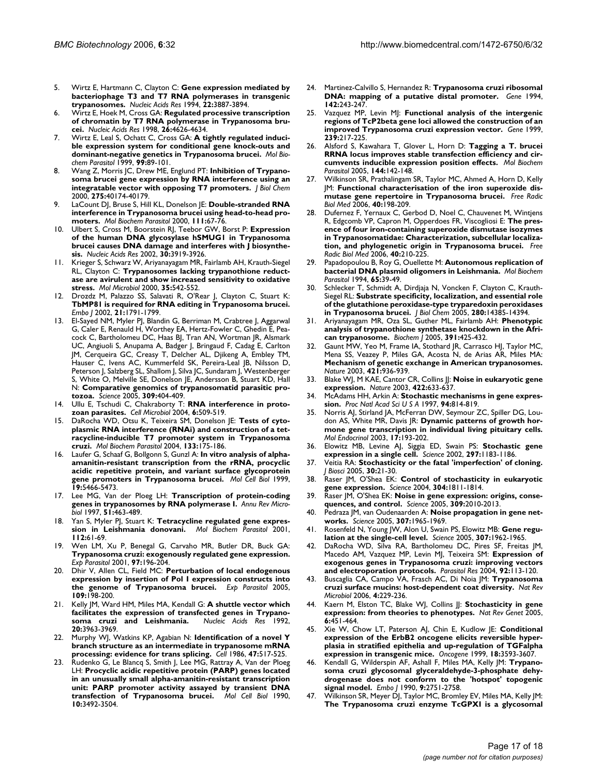- 5. Wirtz E, Hartmann C, Clayton C: **[Gene expression mediated by](http://www.ncbi.nlm.nih.gov/entrez/query.fcgi?cmd=Retrieve&db=PubMed&dopt=Abstract&list_uids=7937108) [bacteriophage T3 and T7 RNA polymerases in transgenic](http://www.ncbi.nlm.nih.gov/entrez/query.fcgi?cmd=Retrieve&db=PubMed&dopt=Abstract&list_uids=7937108) [trypanosomes.](http://www.ncbi.nlm.nih.gov/entrez/query.fcgi?cmd=Retrieve&db=PubMed&dopt=Abstract&list_uids=7937108)** *Nucleic Acids Res* 1994, **22:**3887-3894.
- 6. Wirtz E, Hoek M, Cross GA: **[Regulated processive transcription](http://www.ncbi.nlm.nih.gov/entrez/query.fcgi?cmd=Retrieve&db=PubMed&dopt=Abstract&list_uids=9753730) [of chromatin by T7 RNA polymerase in Trypanosoma bru](http://www.ncbi.nlm.nih.gov/entrez/query.fcgi?cmd=Retrieve&db=PubMed&dopt=Abstract&list_uids=9753730)[cei.](http://www.ncbi.nlm.nih.gov/entrez/query.fcgi?cmd=Retrieve&db=PubMed&dopt=Abstract&list_uids=9753730)** *Nucleic Acids Res* 1998, **26:**4626-4634.
- 7. Wirtz E, Leal S, Ochatt C, Cross GA: **[A tightly regulated induci](http://www.ncbi.nlm.nih.gov/entrez/query.fcgi?cmd=Retrieve&db=PubMed&dopt=Abstract&list_uids=10215027)[ble expression system for conditional gene knock-outs and](http://www.ncbi.nlm.nih.gov/entrez/query.fcgi?cmd=Retrieve&db=PubMed&dopt=Abstract&list_uids=10215027) [dominant-negative genetics in Trypanosoma brucei.](http://www.ncbi.nlm.nih.gov/entrez/query.fcgi?cmd=Retrieve&db=PubMed&dopt=Abstract&list_uids=10215027)** *Mol Biochem Parasitol* 1999, **99:**89-101.
- 8. Wang Z, Morris JC, Drew ME, Englund PT: **[Inhibition of Trypano](http://www.ncbi.nlm.nih.gov/entrez/query.fcgi?cmd=Retrieve&db=PubMed&dopt=Abstract&list_uids=11013266)[soma brucei gene expression by RNA interference using an](http://www.ncbi.nlm.nih.gov/entrez/query.fcgi?cmd=Retrieve&db=PubMed&dopt=Abstract&list_uids=11013266) [integratable vector with opposing T7 promoters.](http://www.ncbi.nlm.nih.gov/entrez/query.fcgi?cmd=Retrieve&db=PubMed&dopt=Abstract&list_uids=11013266)** *J Biol Chem* 2000, **275:**40174-40179.
- 9. LaCount DJ, Bruse S, Hill KL, Donelson JE: **[Double-stranded RNA](http://www.ncbi.nlm.nih.gov/entrez/query.fcgi?cmd=Retrieve&db=PubMed&dopt=Abstract&list_uids=11087917) [interference in Trypanosoma brucei using head-to-head pro](http://www.ncbi.nlm.nih.gov/entrez/query.fcgi?cmd=Retrieve&db=PubMed&dopt=Abstract&list_uids=11087917)[moters.](http://www.ncbi.nlm.nih.gov/entrez/query.fcgi?cmd=Retrieve&db=PubMed&dopt=Abstract&list_uids=11087917)** *Mol Biochem Parasitol* 2000, **111:**67-76.
- 10. Ulbert S, Cross M, Boorstein RJ, Teebor GW, Borst P: **[Expression](http://www.ncbi.nlm.nih.gov/entrez/query.fcgi?cmd=Retrieve&db=PubMed&dopt=Abstract&list_uids=12235375) of the human DNA glycosylase hSMUG1 in Trypanosoma [brucei causes DNA damage and interferes with J biosynthe](http://www.ncbi.nlm.nih.gov/entrez/query.fcgi?cmd=Retrieve&db=PubMed&dopt=Abstract&list_uids=12235375)[sis.](http://www.ncbi.nlm.nih.gov/entrez/query.fcgi?cmd=Retrieve&db=PubMed&dopt=Abstract&list_uids=12235375)** *Nucleic Acids Res* 2002, **30:**3919-3926.
- 11. Krieger S, Schwarz W, Ariyanayagam MR, Fairlamb AH, Krauth-Siegel RL, Clayton C: **[Trypanosomes lacking trypanothione reduct](http://www.ncbi.nlm.nih.gov/entrez/query.fcgi?cmd=Retrieve&db=PubMed&dopt=Abstract&list_uids=10672177)[ase are avirulent and show increased sensitivity to oxidative](http://www.ncbi.nlm.nih.gov/entrez/query.fcgi?cmd=Retrieve&db=PubMed&dopt=Abstract&list_uids=10672177) [stress.](http://www.ncbi.nlm.nih.gov/entrez/query.fcgi?cmd=Retrieve&db=PubMed&dopt=Abstract&list_uids=10672177)** *Mol Microbiol* 2000, **35:**542-552.
- 12. Drozdz M, Palazzo SS, Salavati R, O'Rear J, Clayton C, Stuart K: **[TbMP81 is required for RNA editing in Trypanosoma brucei.](http://www.ncbi.nlm.nih.gov/entrez/query.fcgi?cmd=Retrieve&db=PubMed&dopt=Abstract&list_uids=11927563)** *Embo J* 2002, **21:**1791-1799.
- 13. El-Sayed NM, Myler PJ, Blandin G, Berriman M, Crabtree J, Aggarwal G, Caler E, Renauld H, Worthey EA, Hertz-Fowler C, Ghedin E, Peacock C, Bartholomeu DC, Haas BJ, Tran AN, Wortman JR, Alsmark UC, Angiuoli S, Anupama A, Badger J, Bringaud F, Cadag E, Carlton JM, Cerqueira GC, Creasy T, Delcher AL, Djikeng A, Embley TM, Hauser C, Ivens AC, Kummerfeld SK, Pereira-Leal JB, Nilsson D, Peterson J, Salzberg SL, Shallom J, Silva JC, Sundaram J, Westenberger S, White O, Melville SE, Donelson JE, Andersson B, Stuart KD, Hall N: **[Comparative genomics of trypanosomatid parasitic pro](http://www.ncbi.nlm.nih.gov/entrez/query.fcgi?cmd=Retrieve&db=PubMed&dopt=Abstract&list_uids=16020724)[tozoa.](http://www.ncbi.nlm.nih.gov/entrez/query.fcgi?cmd=Retrieve&db=PubMed&dopt=Abstract&list_uids=16020724)** *Science* 2005, **309:**404-409.
- 14. Ullu E, Tschudi C, Chakraborty T: **[RNA interference in proto](http://www.ncbi.nlm.nih.gov/entrez/query.fcgi?cmd=Retrieve&db=PubMed&dopt=Abstract&list_uids=15104593)[zoan parasites.](http://www.ncbi.nlm.nih.gov/entrez/query.fcgi?cmd=Retrieve&db=PubMed&dopt=Abstract&list_uids=15104593)** *Cell Microbiol* 2004, **6:**509-519.
- 15. DaRocha WD, Otsu K, Teixeira SM, Donelson JE: **[Tests of cyto](http://www.ncbi.nlm.nih.gov/entrez/query.fcgi?cmd=Retrieve&db=PubMed&dopt=Abstract&list_uids=14698430)plasmic RNA interference (RNAi) and construction of a tet[racycline-inducible T7 promoter system in Trypanosoma](http://www.ncbi.nlm.nih.gov/entrez/query.fcgi?cmd=Retrieve&db=PubMed&dopt=Abstract&list_uids=14698430) [cruzi.](http://www.ncbi.nlm.nih.gov/entrez/query.fcgi?cmd=Retrieve&db=PubMed&dopt=Abstract&list_uids=14698430)** *Mol Biochem Parasitol* 2004, **133:**175-186.
- 16. Laufer G, Schaaf G, Bollgonn S, Gunzl A: **[In vitro analysis of alpha](http://www.ncbi.nlm.nih.gov/entrez/query.fcgi?cmd=Retrieve&db=PubMed&dopt=Abstract&list_uids=10409736)amanitin-resistant transcription from the rRNA, procyclic [acidic repetitive protein, and variant surface glycoprotein](http://www.ncbi.nlm.nih.gov/entrez/query.fcgi?cmd=Retrieve&db=PubMed&dopt=Abstract&list_uids=10409736) [gene promoters in Trypanosoma brucei.](http://www.ncbi.nlm.nih.gov/entrez/query.fcgi?cmd=Retrieve&db=PubMed&dopt=Abstract&list_uids=10409736)** *Mol Cell Biol* 1999, **19:**5466-5473.
- 17. Lee MG, Van der Ploeg LH: **[Transcription of protein-coding](http://www.ncbi.nlm.nih.gov/entrez/query.fcgi?cmd=Retrieve&db=PubMed&dopt=Abstract&list_uids=9343357) [genes in trypanosomes by RNA polymerase I.](http://www.ncbi.nlm.nih.gov/entrez/query.fcgi?cmd=Retrieve&db=PubMed&dopt=Abstract&list_uids=9343357)** *Annu Rev Microbiol* 1997, **51:**463-489.
- 18. Yan S, Myler PJ, Stuart K: **[Tetracycline regulated gene expres](http://www.ncbi.nlm.nih.gov/entrez/query.fcgi?cmd=Retrieve&db=PubMed&dopt=Abstract&list_uids=11166387)[sion in Leishmania donovani.](http://www.ncbi.nlm.nih.gov/entrez/query.fcgi?cmd=Retrieve&db=PubMed&dopt=Abstract&list_uids=11166387)** *Mol Biochem Parasitol* 2001, **112:**61-69.
- Wen LM, Xu P, Benegal G, Carvaho MR, Butler DR, Buck GA: **[Trypanosoma cruzi: exogenously regulated gene expression.](http://www.ncbi.nlm.nih.gov/entrez/query.fcgi?cmd=Retrieve&db=PubMed&dopt=Abstract&list_uids=11384163)** *Exp Parasitol* 2001, **97:**196-204.
- 20. Dhir V, Allen CL, Field MC: **[Perturbation of local endogenous](http://www.ncbi.nlm.nih.gov/entrez/query.fcgi?cmd=Retrieve&db=PubMed&dopt=Abstract&list_uids=15713453) [expression by insertion of Pol I expression constructs into](http://www.ncbi.nlm.nih.gov/entrez/query.fcgi?cmd=Retrieve&db=PubMed&dopt=Abstract&list_uids=15713453) [the genome of Trypanosoma brucei.](http://www.ncbi.nlm.nih.gov/entrez/query.fcgi?cmd=Retrieve&db=PubMed&dopt=Abstract&list_uids=15713453)** *Exp Parasitol* 2005, **109:**198-200.
- 21. Kelly JM, Ward HM, Miles MA, Kendall G: **[A shuttle vector which](http://www.ncbi.nlm.nih.gov/entrez/query.fcgi?cmd=Retrieve&db=PubMed&dopt=Abstract&list_uids=1324472)** facilitates the expression of transfected genes in Trypano-<br>soma cruzi and Leishmania. Nucleic Acids Res 1992, [soma cruzi and Leishmania.](http://www.ncbi.nlm.nih.gov/entrez/query.fcgi?cmd=Retrieve&db=PubMed&dopt=Abstract&list_uids=1324472) **20:**3963-3969.
- 22. Murphy WJ, Watkins KP, Agabian N: **[Identification of a novel Y](http://www.ncbi.nlm.nih.gov/entrez/query.fcgi?cmd=Retrieve&db=PubMed&dopt=Abstract&list_uids=3779835) [branch structure as an intermediate in trypanosome mRNA](http://www.ncbi.nlm.nih.gov/entrez/query.fcgi?cmd=Retrieve&db=PubMed&dopt=Abstract&list_uids=3779835) [processing: evidence for trans splicing.](http://www.ncbi.nlm.nih.gov/entrez/query.fcgi?cmd=Retrieve&db=PubMed&dopt=Abstract&list_uids=3779835)** *Cell* 1986, **47:**517-525.
- 23. Rudenko G, Le Blancq S, Smith J, Lee MG, Rattray A, Van der Ploeg LH: **[Procyclic acidic repetitive protein \(PARP\) genes located](http://www.ncbi.nlm.nih.gov/entrez/query.fcgi?cmd=Retrieve&db=PubMed&dopt=Abstract&list_uids=1694012) in an unusually small alpha-amanitin-resistant transcription [unit: PARP promoter activity assayed by transient DNA](http://www.ncbi.nlm.nih.gov/entrez/query.fcgi?cmd=Retrieve&db=PubMed&dopt=Abstract&list_uids=1694012) [transfection of Trypanosoma brucei.](http://www.ncbi.nlm.nih.gov/entrez/query.fcgi?cmd=Retrieve&db=PubMed&dopt=Abstract&list_uids=1694012)** *Mol Cell Biol* 1990, **10:**3492-3504.
- 24. Martinez-Calvillo S, Hernandez R: **[Trypanosoma cruzi ribosomal](http://www.ncbi.nlm.nih.gov/entrez/query.fcgi?cmd=Retrieve&db=PubMed&dopt=Abstract&list_uids=8194758) [DNA: mapping of a putative distal promoter.](http://www.ncbi.nlm.nih.gov/entrez/query.fcgi?cmd=Retrieve&db=PubMed&dopt=Abstract&list_uids=8194758)** *Gene* 1994, **142:**243-247.
- 25. Vazquez MP, Levin MJ: **[Functional analysis of the intergenic](http://www.ncbi.nlm.nih.gov/entrez/query.fcgi?cmd=Retrieve&db=PubMed&dopt=Abstract&list_uids=10548722) [regions of TcP2beta gene loci allowed the construction of an](http://www.ncbi.nlm.nih.gov/entrez/query.fcgi?cmd=Retrieve&db=PubMed&dopt=Abstract&list_uids=10548722) [improved Trypanosoma cruzi expression vector.](http://www.ncbi.nlm.nih.gov/entrez/query.fcgi?cmd=Retrieve&db=PubMed&dopt=Abstract&list_uids=10548722)** *Gene* 1999, **239:**217-225.
- 26. Alsford S, Kawahara T, Glover L, Horn D: **[Tagging a T. brucei](http://www.ncbi.nlm.nih.gov/entrez/query.fcgi?cmd=Retrieve&db=PubMed&dopt=Abstract&list_uids=16182389) [RRNA locus improves stable transfection efficiency and cir](http://www.ncbi.nlm.nih.gov/entrez/query.fcgi?cmd=Retrieve&db=PubMed&dopt=Abstract&list_uids=16182389)[cumvents inducible expression position effects.](http://www.ncbi.nlm.nih.gov/entrez/query.fcgi?cmd=Retrieve&db=PubMed&dopt=Abstract&list_uids=16182389)** *Mol Biochem Parasitol* 2005, **144:**142-148.
- 27. Wilkinson SR, Prathalingam SR, Taylor MC, Ahmed A, Horn D, Kelly JM: **[Functional characterisation of the iron superoxide dis](http://www.ncbi.nlm.nih.gov/entrez/query.fcgi?cmd=Retrieve&db=PubMed&dopt=Abstract&list_uids=16413403)[mutase gene repertoire in Trypanosoma brucei.](http://www.ncbi.nlm.nih.gov/entrez/query.fcgi?cmd=Retrieve&db=PubMed&dopt=Abstract&list_uids=16413403)** *Free Radic Biol Med* 2006, **40:**198-209.
- 28. Dufernez F, Yernaux C, Gerbod D, Noel C, Chauvenet M, Wintjens R, Edgcomb VP, Capron M, Opperdoes FR, Viscogliosi E: **[The pres](http://www.ncbi.nlm.nih.gov/entrez/query.fcgi?cmd=Retrieve&db=PubMed&dopt=Abstract&list_uids=16413404)ence of four iron-containing superoxide dismutase isozymes [in Trypanosomatidae: Characterization, subcellular localiza](http://www.ncbi.nlm.nih.gov/entrez/query.fcgi?cmd=Retrieve&db=PubMed&dopt=Abstract&list_uids=16413404)[tion, and phylogenetic origin in Trypanosoma brucei.](http://www.ncbi.nlm.nih.gov/entrez/query.fcgi?cmd=Retrieve&db=PubMed&dopt=Abstract&list_uids=16413404)** *Free Radic Biol Med* 2006, **40:**210-225.
- Papadopoulou B, Roy G, Ouellette M: [Autonomous replication of](http://www.ncbi.nlm.nih.gov/entrez/query.fcgi?cmd=Retrieve&db=PubMed&dopt=Abstract&list_uids=7935627) **[bacterial DNA plasmid oligomers in Leishmania.](http://www.ncbi.nlm.nih.gov/entrez/query.fcgi?cmd=Retrieve&db=PubMed&dopt=Abstract&list_uids=7935627)** *Mol Biochem Parasitol* 1994, **65:**39-49.
- 30. Schlecker T, Schmidt A, Dirdjaja N, Voncken F, Clayton C, Krauth-Siegel RL: **[Substrate specificity, localization, and essential role](http://www.ncbi.nlm.nih.gov/entrez/query.fcgi?cmd=Retrieve&db=PubMed&dopt=Abstract&list_uids=15664987) [of the glutathione peroxidase-type tryparedoxin peroxidases](http://www.ncbi.nlm.nih.gov/entrez/query.fcgi?cmd=Retrieve&db=PubMed&dopt=Abstract&list_uids=15664987) [in Trypanosoma brucei.](http://www.ncbi.nlm.nih.gov/entrez/query.fcgi?cmd=Retrieve&db=PubMed&dopt=Abstract&list_uids=15664987)** *J Biol Chem* 2005, **280:**14385-14394.
- 31. Ariyanayagam MR, Oza SL, Guther ML, Fairlamb AH: **[Phenotypic](http://www.ncbi.nlm.nih.gov/entrez/query.fcgi?cmd=Retrieve&db=PubMed&dopt=Abstract&list_uids=16008527) [analysis of trypanothione synthetase knockdown in the Afri](http://www.ncbi.nlm.nih.gov/entrez/query.fcgi?cmd=Retrieve&db=PubMed&dopt=Abstract&list_uids=16008527)[can trypanosome.](http://www.ncbi.nlm.nih.gov/entrez/query.fcgi?cmd=Retrieve&db=PubMed&dopt=Abstract&list_uids=16008527)** *Biochem J* 2005, **391:**425-432.
- 32. Gaunt MW, Yeo M, Frame IA, Stothard JR, Carrasco HJ, Taylor MC, Mena SS, Veazey P, Miles GA, Acosta N, de Arias AR, Miles MA: **[Mechanism of genetic exchange in American trypanosomes.](http://www.ncbi.nlm.nih.gov/entrez/query.fcgi?cmd=Retrieve&db=PubMed&dopt=Abstract&list_uids=12606999)** *Nature* 2003, **421:**936-939.
- 33. Blake WJ, M KAE, Cantor CR, Collins JJ: **[Noise in eukaryotic gene](http://www.ncbi.nlm.nih.gov/entrez/query.fcgi?cmd=Retrieve&db=PubMed&dopt=Abstract&list_uids=12687005) [expression.](http://www.ncbi.nlm.nih.gov/entrez/query.fcgi?cmd=Retrieve&db=PubMed&dopt=Abstract&list_uids=12687005)** *Nature* 2003, **422:**633-637.
- 34. McAdams HH, Arkin A: **[Stochastic mechanisms in gene expres](http://www.ncbi.nlm.nih.gov/entrez/query.fcgi?cmd=Retrieve&db=PubMed&dopt=Abstract&list_uids=9023339)[sion.](http://www.ncbi.nlm.nih.gov/entrez/query.fcgi?cmd=Retrieve&db=PubMed&dopt=Abstract&list_uids=9023339)** *Proc Natl Acad Sci U S A* 1997, **94:**814-819.
- 35. Norris AJ, Stirland JA, McFerran DW, Seymour ZC, Spiller DG, Loudon AS, White MR, Davis JR: **[Dynamic patterns of growth hor](http://www.ncbi.nlm.nih.gov/entrez/query.fcgi?cmd=Retrieve&db=PubMed&dopt=Abstract&list_uids=12554747)[mone gene transcription in individual living pituitary cells.](http://www.ncbi.nlm.nih.gov/entrez/query.fcgi?cmd=Retrieve&db=PubMed&dopt=Abstract&list_uids=12554747)** *Mol Endocrinol* 2003, **17:**193-202.
- 36. Elowitz MB, Levine AJ, Siggia ED, Swain PS: **[Stochastic gene](http://www.ncbi.nlm.nih.gov/entrez/query.fcgi?cmd=Retrieve&db=PubMed&dopt=Abstract&list_uids=12183631) [expression in a single cell.](http://www.ncbi.nlm.nih.gov/entrez/query.fcgi?cmd=Retrieve&db=PubMed&dopt=Abstract&list_uids=12183631)** *Science* 2002, **297:**1183-1186.
- 37. Veitia RA: **[Stochasticity or the fatal 'imperfection' of cloning.](http://www.ncbi.nlm.nih.gov/entrez/query.fcgi?cmd=Retrieve&db=PubMed&dopt=Abstract&list_uids=15824438)** *J Biosci* 2005, **30:**21-30.
- 38. Raser JM, O'Shea EK: **[Control of stochasticity in eukaryotic](http://www.ncbi.nlm.nih.gov/entrez/query.fcgi?cmd=Retrieve&db=PubMed&dopt=Abstract&list_uids=15166317) [gene expression.](http://www.ncbi.nlm.nih.gov/entrez/query.fcgi?cmd=Retrieve&db=PubMed&dopt=Abstract&list_uids=15166317)** *Science* 2004, **304:**1811-1814.
- 39. Raser JM, O'Shea EK: **[Noise in gene expression: origins, conse](http://www.ncbi.nlm.nih.gov/entrez/query.fcgi?cmd=Retrieve&db=PubMed&dopt=Abstract&list_uids=16179466)[quences, and control.](http://www.ncbi.nlm.nih.gov/entrez/query.fcgi?cmd=Retrieve&db=PubMed&dopt=Abstract&list_uids=16179466)** *Science* 2005, **309:**2010-2013.
- 40. Pedraza JM, van Oudenaarden A: **[Noise propagation in gene net](http://www.ncbi.nlm.nih.gov/entrez/query.fcgi?cmd=Retrieve&db=PubMed&dopt=Abstract&list_uids=15790857)[works.](http://www.ncbi.nlm.nih.gov/entrez/query.fcgi?cmd=Retrieve&db=PubMed&dopt=Abstract&list_uids=15790857)** *Science* 2005, **307:**1965-1969.
- 41. Rosenfeld N, Young JW, Alon U, Swain PS, Elowitz MB: **[Gene regu](http://www.ncbi.nlm.nih.gov/entrez/query.fcgi?cmd=Retrieve&db=PubMed&dopt=Abstract&list_uids=15790856)[lation at the single-cell level.](http://www.ncbi.nlm.nih.gov/entrez/query.fcgi?cmd=Retrieve&db=PubMed&dopt=Abstract&list_uids=15790856)** *Science* 2005, **307:**1962-1965.
- 42. DaRocha WD, Silva RA, Bartholomeu DC, Pires SF, Freitas JM, Macedo AM, Vazquez MP, Levin MJ, Teixeira SM: **[Expression of](http://www.ncbi.nlm.nih.gov/entrez/query.fcgi?cmd=Retrieve&db=PubMed&dopt=Abstract&list_uids=14634799) [exogenous genes in Trypanosoma cruzi: improving vectors](http://www.ncbi.nlm.nih.gov/entrez/query.fcgi?cmd=Retrieve&db=PubMed&dopt=Abstract&list_uids=14634799) [and electroporation protocols.](http://www.ncbi.nlm.nih.gov/entrez/query.fcgi?cmd=Retrieve&db=PubMed&dopt=Abstract&list_uids=14634799)** *Parasitol Res* 2004, **92:**113-120.
- 43. Buscaglia CA, Campo VA, Frasch AC, Di Noia JM: **[Trypanosoma](http://www.ncbi.nlm.nih.gov/entrez/query.fcgi?cmd=Retrieve&db=PubMed&dopt=Abstract&list_uids=16489349) [cruzi surface mucins: host-dependent coat diversity.](http://www.ncbi.nlm.nih.gov/entrez/query.fcgi?cmd=Retrieve&db=PubMed&dopt=Abstract&list_uids=16489349)** *Nat Rev Microbiol* 2006, **4:**229-236.
- 44. Kaern M, Elston TC, Blake WJ, Collins JJ: **[Stochasticity in gene](http://www.ncbi.nlm.nih.gov/entrez/query.fcgi?cmd=Retrieve&db=PubMed&dopt=Abstract&list_uids=15883588) [expression: from theories to phenotypes.](http://www.ncbi.nlm.nih.gov/entrez/query.fcgi?cmd=Retrieve&db=PubMed&dopt=Abstract&list_uids=15883588)** *Nat Rev Genet* 2005, **6:**451-464.
- 45. Xie W, Chow LT, Paterson AJ, Chin E, Kudlow JE: **[Conditional](http://www.ncbi.nlm.nih.gov/entrez/query.fcgi?cmd=Retrieve&db=PubMed&dopt=Abstract&list_uids=10380881) expression of the ErbB2 oncogene elicits reversible hyper[plasia in stratified epithelia and up-regulation of TGFalpha](http://www.ncbi.nlm.nih.gov/entrez/query.fcgi?cmd=Retrieve&db=PubMed&dopt=Abstract&list_uids=10380881) [expression in transgenic mice.](http://www.ncbi.nlm.nih.gov/entrez/query.fcgi?cmd=Retrieve&db=PubMed&dopt=Abstract&list_uids=10380881)** *Oncogene* 1999, **18:**3593-3607.
- 46. Kendall G, Wilderspin AF, Ashall F, Miles MA, Kelly JM: **[Trypano](http://www.ncbi.nlm.nih.gov/entrez/query.fcgi?cmd=Retrieve&db=PubMed&dopt=Abstract&list_uids=2167831)soma cruzi glycosomal glyceraldehyde-3-phosphate dehy[drogenase does not conform to the 'hotspot' topogenic](http://www.ncbi.nlm.nih.gov/entrez/query.fcgi?cmd=Retrieve&db=PubMed&dopt=Abstract&list_uids=2167831) [signal model.](http://www.ncbi.nlm.nih.gov/entrez/query.fcgi?cmd=Retrieve&db=PubMed&dopt=Abstract&list_uids=2167831)** *Embo J* 1990, **9:**2751-2758.
- 47. Wilkinson SR, Meyer DJ, Taylor MC, Bromley EV, Miles MA, Kelly JM: **[The Trypanosoma cruzi enzyme TcGPXI is a glycosomal](http://www.ncbi.nlm.nih.gov/entrez/query.fcgi?cmd=Retrieve&db=PubMed&dopt=Abstract&list_uids=11842085)**